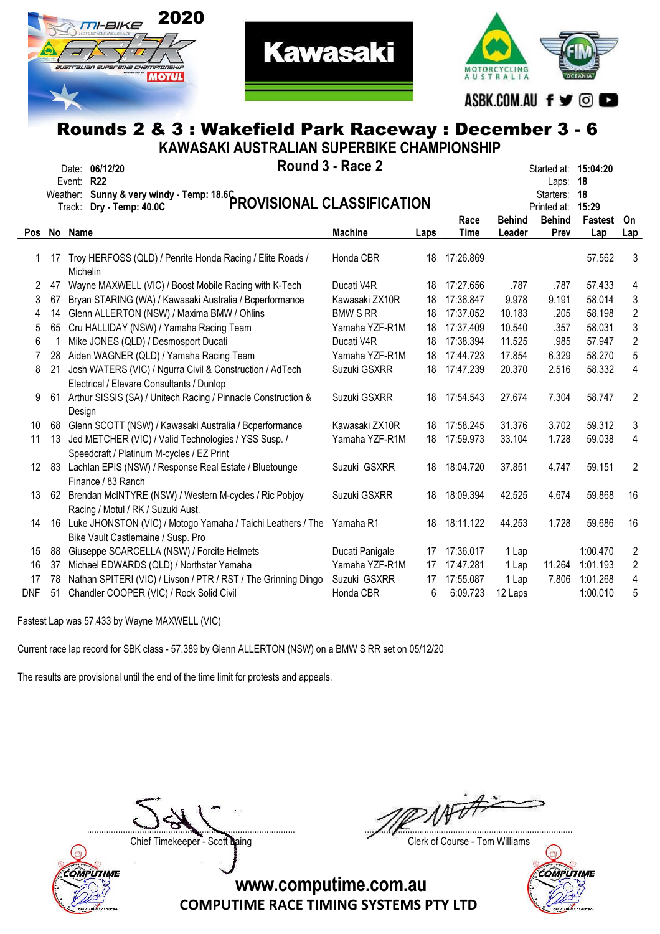



**Kawasaki** 

|     |     | NUMINS Z & J , MANGHEIN I AIN NACEWAY , DECENIDEI J - U<br>KAWASAKI AUSTRALIAN SUPERBIKE CHAMPIONSHIP |                  |      |              |                         |                       |                      |                |
|-----|-----|-------------------------------------------------------------------------------------------------------|------------------|------|--------------|-------------------------|-----------------------|----------------------|----------------|
|     |     | 06/12/20<br>Date:                                                                                     | Round 3 - Race 2 |      |              |                         |                       | Started at: 15:04:20 |                |
|     |     | <b>R22</b><br>Event:<br>Weather:                                                                      |                  |      |              |                         | Laps:<br>Starters:    | 18<br>-18            |                |
|     |     | Sunny & very windy - Temp: 18.6C<br>PROVISIONAL CLASSIFICATION<br>Track:                              |                  |      |              |                         | Printed at:           | 15:29                |                |
| Pos | No  | Name                                                                                                  | <b>Machine</b>   | Laps | Race<br>Time | <b>Behind</b><br>Leader | <b>Behind</b><br>Prev | Fastest<br>Lap       | On<br>Lap      |
|     | 17  | Troy HERFOSS (QLD) / Penrite Honda Racing / Elite Roads /<br><b>Michelin</b>                          | Honda CBR        | 18   | 17:26.869    |                         |                       | 57.562               | 3              |
| 2   | 47  | Wayne MAXWELL (VIC) / Boost Mobile Racing with K-Tech                                                 | Ducati V4R       | 18   | 17:27.656    | .787                    | .787                  | 57.433               | 4              |
| 3   | 67  | Bryan STARING (WA) / Kawasaki Australia / Bcperformance                                               | Kawasaki ZX10R   | 18   | 17:36.847    | 9.978                   | 9.191                 | 58.014               | 3              |
|     | 14  | Glenn ALLERTON (NSW) / Maxima BMW / Ohlins                                                            | <b>BMW S RR</b>  | 18   | 17:37.052    | 10.183                  | .205                  | 58.198               | 2              |
| 5   | 65  | Cru HALLIDAY (NSW) / Yamaha Racing Team                                                               | Yamaha YZF-R1M   | 18   | 17:37.409    | 10.540                  | .357                  | 58.031               | 3              |
| 6   |     | Mike JONES (QLD) / Desmosport Ducati                                                                  | Ducati V4R       | 18   | 17:38.394    | 11.525                  | .985                  | 57.947               | $\overline{2}$ |
|     | 28  | Aiden WAGNER (QLD) / Yamaha Racing Team                                                               | Yamaha YZF-R1M   | 18   | 17:44.723    | 17.854                  | 6.329                 | 58.270               | 5              |
| 8   | 21  | Josh WATERS (VIC) / Ngurra Civil & Construction / AdTech<br>Electrical / Elevare Consultants / Dunlop | Suzuki GSXRR     | 18   | 17:47.239    | 20,370                  | 2.516                 | 58.332               | 4              |
| 9   | -61 | Arthur SISSIS (SA) / Unitech Racing / Pinnacle Construction &<br>Design                               | Suzuki GSXRR     | 18   | 17:54.543    | 27.674                  | 7.304                 | 58.747               | 2              |
| 10  | 68  | Glenn SCOTT (NSW) / Kawasaki Australia / Bcperformance                                                | Kawasaki ZX10R   | 18   | 17:58.245    | 31.376                  | 3.702                 | 59.312               | 3              |

13 62 Brendan McINTYRE (NSW) / Western M-cycles / Ric Pobjoy Racing / Motul / RK / Suzuki Aust.

11 13 Jed METCHER (VIC) / Valid Technologies / YSS Susp. / Speedcraft / Platinum M-cycles / EZ Print

12 83 Lachlan EPIS (NSW) / Response Real Estate / Bluetounge

- 14 16 Luke JHONSTON (VIC) / Motogo Yamaha / Taichi Leathers / The Yamaha R1 18 18:11.122 44.253 1.728 59.686 16 Bike Vault Castlemaine / Susp. Pro
- 15 88 Giuseppe SCARCELLA (NSW) / Forcite Helmets Ducati Panigale 17 17:36.017 1 Lap 1:00.470 2
- 16 37 Michael EDWARDS (QLD) / Northstar Yamaha <br>
Yamaha YZF-R1M 17 17:47.281 1 Lap 11.264 1:01.193 2
- 17 78 Nathan SPITERI (VIC) / Livson / PTR / RST / The Grinning Dingo Suzuki GSXRR 17 17:55.087 1 Lap 7.806 1:01.268 4

DNF 51 Chandler COOPER (VIC) / Rock Solid Civil Honda CBR 6 6:09.723 12 Laps 1:00.010 5

Fastest Lap was 57.433 by Wayne MAXWELL (VIC)

Finance / 83 Ranch

Current race lap record for SBK class - 57.389 by Glenn ALLERTON (NSW) on a BMW S RR set on 05/12/20

The results are provisional until the end of the time limit for protests and appeals.



....................................................................................... .......................................................................................

Chief Timekeeper - Scott Laing Chief Timekeeper - Scott Laing

Yamaha YZF-R1M 18 17:59.973 33.104 1.728 59.038 4

Suzuki GSXRR 18 18:04.720 37.851 4.747 59.151 2

Suzuki GSXRR 18 18:09.394 42.525 4.674 59.868 16

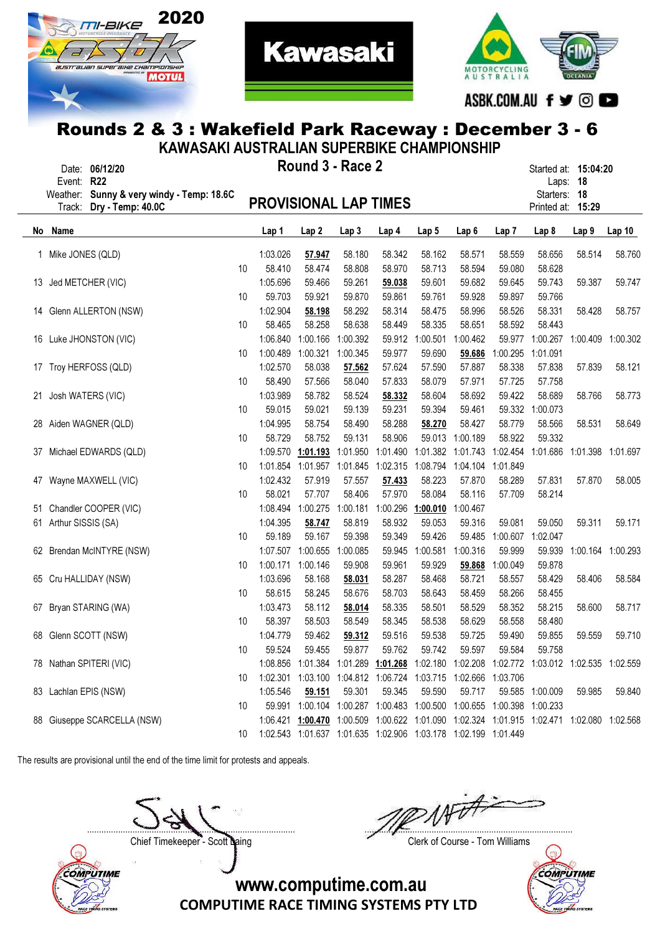



**Kawasaki** 

|                                                                                                                                                   |                       |                             | KAWASAKI AUSTRALIAN SUPERBIKE CHAMPIONSHIP |                              |                                                                              |          |          |          |                   |          |                                                                                                  |                   |                   |
|---------------------------------------------------------------------------------------------------------------------------------------------------|-----------------------|-----------------------------|--------------------------------------------|------------------------------|------------------------------------------------------------------------------|----------|----------|----------|-------------------|----------|--------------------------------------------------------------------------------------------------|-------------------|-------------------|
| Round 3 - Race 2<br>Date: 06/12/20<br>Started at: 15:04:20<br>Event: R22<br>Laps: 18<br>Weather: Sunny & very windy - Temp: 18.6C<br>Starters: 18 |                       |                             |                                            |                              |                                                                              |          |          |          |                   |          |                                                                                                  |                   |                   |
|                                                                                                                                                   | Track:                | Dry - Temp: 40.0C           |                                            | <b>PROVISIONAL LAP TIMES</b> |                                                                              |          |          |          |                   |          | Printed at: 15:29                                                                                |                   |                   |
|                                                                                                                                                   | No Name               |                             |                                            | Lap 1                        | Lap <sub>2</sub>                                                             | Lap 3    | Lap 4    | Lap 5    | Lap 6             | Lap 7    | Lap 8                                                                                            | Lap 9             | Lap <sub>10</sub> |
| 1                                                                                                                                                 | Mike JONES (QLD)      |                             |                                            | 1:03.026                     | 57.947                                                                       | 58.180   | 58.342   | 58.162   | 58.571            | 58.559   | 58.656                                                                                           | 58.514            | 58.760            |
|                                                                                                                                                   |                       |                             | 10                                         | 58.410                       | 58.474                                                                       | 58.808   | 58.970   | 58.713   | 58.594            | 59.080   | 58.628                                                                                           |                   |                   |
|                                                                                                                                                   | 13 Jed METCHER (VIC)  |                             |                                            | 1:05.696                     | 59.466                                                                       | 59.261   | 59.038   | 59.601   | 59.682            | 59.645   | 59.743                                                                                           | 59.387            | 59.747            |
|                                                                                                                                                   |                       |                             | 10                                         | 59.703                       | 59.921                                                                       | 59.870   | 59.861   | 59.761   | 59.928            | 59.897   | 59.766                                                                                           |                   |                   |
|                                                                                                                                                   |                       | 14 Glenn ALLERTON (NSW)     |                                            | 1:02.904                     | 58.198                                                                       | 58.292   | 58.314   | 58.475   | 58.996            | 58.526   | 58.331                                                                                           | 58.428            | 58.757            |
|                                                                                                                                                   |                       |                             | 10                                         | 58.465                       | 58.258                                                                       | 58.638   | 58.449   | 58.335   | 58.651            | 58.592   | 58.443                                                                                           |                   |                   |
|                                                                                                                                                   |                       | 16 Luke JHONSTON (VIC)      |                                            | 1:06.840                     | 1:00.166                                                                     | 1:00.392 | 59.912   | 1:00.501 | 1:00.462          | 59.977   | 1:00.267                                                                                         | 1:00.409          | 1:00.302          |
|                                                                                                                                                   |                       |                             | 10                                         | 1:00.489                     | 1:00.321                                                                     | 1:00.345 | 59.977   | 59.690   | 59.686            | 1:00.295 | 1:01.091                                                                                         |                   |                   |
|                                                                                                                                                   |                       | 17 Troy HERFOSS (QLD)       |                                            | 1:02.570                     | 58.038                                                                       | 57.562   | 57.624   | 57.590   | 57.887            | 58.338   | 57.838                                                                                           | 57.839            | 58.121            |
|                                                                                                                                                   |                       |                             | 10                                         | 58.490                       | 57.566                                                                       | 58.040   | 57.833   | 58.079   | 57.971            | 57.725   | 57.758                                                                                           |                   |                   |
| 21                                                                                                                                                | Josh WATERS (VIC)     |                             |                                            | 1:03.989                     | 58.782                                                                       | 58.524   | 58.332   | 58.604   | 58.692            | 59.422   | 58.689                                                                                           | 58.766            | 58.773            |
|                                                                                                                                                   |                       |                             | 10                                         | 59.015                       | 59.021                                                                       | 59.139   | 59.231   | 59.394   | 59.461            | 59.332   | 1:00.073                                                                                         |                   |                   |
|                                                                                                                                                   |                       | 28 Aiden WAGNER (QLD)       |                                            | 1:04.995                     | 58.754                                                                       | 58.490   | 58.288   | 58.270   | 58.427            | 58.779   | 58.566                                                                                           | 58.531            | 58.649            |
|                                                                                                                                                   |                       |                             | 10                                         | 58.729                       | 58.752                                                                       | 59.131   | 58.906   | 59.013   | 1:00.189          | 58.922   | 59.332                                                                                           |                   |                   |
| 37                                                                                                                                                |                       | Michael EDWARDS (QLD)       |                                            | 1:09.570                     | 1:01.193                                                                     | 1:01.950 | 1:01.490 |          | 1:01.382 1:01.743 | 1:02.454 | 1:01.686 1:01.398 1:01.697                                                                       |                   |                   |
|                                                                                                                                                   |                       |                             | 10                                         | 1:01.854                     | 1:01.957                                                                     | 1:01.845 | 1:02.315 | 1:08.794 | 1:04.104          | 1:01.849 |                                                                                                  |                   |                   |
|                                                                                                                                                   |                       | 47 Wayne MAXWELL (VIC)      |                                            | 1:02.432                     | 57.919                                                                       | 57.557   | 57.433   | 58.223   | 57.870            | 58.289   | 57.831                                                                                           | 57.870            | 58.005            |
|                                                                                                                                                   |                       |                             | 10                                         | 58.021                       | 57.707                                                                       | 58.406   | 57.970   | 58.084   | 58.116            | 57.709   | 58.214                                                                                           |                   |                   |
|                                                                                                                                                   |                       | 51 Chandler COOPER (VIC)    |                                            | 1:08.494                     | 1:00.275                                                                     | 1:00.181 | 1:00.296 | 1:00.010 | 1:00.467          |          |                                                                                                  |                   |                   |
| 61                                                                                                                                                | Arthur SISSIS (SA)    |                             |                                            | 1:04.395                     | 58.747                                                                       | 58.819   | 58.932   | 59.053   | 59.316            | 59.081   | 59.050                                                                                           | 59.311            | 59.171            |
|                                                                                                                                                   |                       |                             | 10                                         | 59.189                       | 59.167                                                                       | 59.398   | 59.349   | 59.426   | 59.485            | 1:00.607 | 1:02.047                                                                                         |                   |                   |
|                                                                                                                                                   |                       | 62 Brendan McINTYRE (NSW)   |                                            | 1:07.507                     | 1:00.655                                                                     | 1:00.085 | 59.945   | 1:00.581 | 1:00.316          | 59.999   | 59.939                                                                                           | 1:00.164 1:00.293 |                   |
|                                                                                                                                                   |                       |                             | 10                                         | 1:00.171                     | 1:00.146                                                                     | 59.908   | 59.961   | 59.929   | 59.868            | 1:00.049 | 59.878                                                                                           |                   |                   |
|                                                                                                                                                   |                       | 65 Cru HALLIDAY (NSW)       |                                            | 1:03.696                     | 58.168                                                                       | 58.031   | 58.287   | 58.468   | 58.721            | 58.557   | 58.429                                                                                           | 58.406            | 58.584            |
|                                                                                                                                                   |                       |                             | 10                                         | 58.615                       | 58.245                                                                       | 58.676   | 58.703   | 58.643   | 58.459            | 58.266   | 58.455                                                                                           |                   |                   |
|                                                                                                                                                   |                       | 67 Bryan STARING (WA)       |                                            | 1:03.473                     | 58.112                                                                       | 58.014   | 58.335   | 58.501   | 58.529            | 58.352   | 58.215                                                                                           | 58.600            | 58.717            |
|                                                                                                                                                   |                       |                             | 10                                         | 58.397                       | 58.503                                                                       | 58.549   | 58.345   | 58.538   | 58.629            | 58.558   | 58.480                                                                                           |                   |                   |
|                                                                                                                                                   |                       | 68 Glenn SCOTT (NSW)        |                                            | 1:04.779                     | 59.462                                                                       | 59.312   | 59.516   | 59.538   | 59.725            | 59.490   | 59.855                                                                                           | 59.559            | 59.710            |
|                                                                                                                                                   |                       |                             | 10                                         | 59.524                       | 59.455                                                                       | 59.877   | 59.762   | 59.742   | 59.597            | 59.584   | 59.758                                                                                           |                   |                   |
|                                                                                                                                                   |                       | 78 Nathan SPITERI (VIC)     |                                            |                              |                                                                              |          |          |          |                   |          | 1:08.856 1:01.384 1:01.289 <b>1:01.268</b> 1:02.180 1:02.208 1:02.772 1:03.012 1:02.535 1:02.559 |                   |                   |
|                                                                                                                                                   |                       |                             | 10                                         |                              | 1:02.301  1:03.100  1:04.812  1:06.724  1:03.715  1:02.666  1:03.706         |          |          |          |                   |          |                                                                                                  |                   |                   |
|                                                                                                                                                   | 83 Lachlan EPIS (NSW) |                             |                                            | 1:05.546                     | 59.151                                                                       | 59.301   | 59.345   | 59.590   | 59.717            |          | 59.585 1:00.009                                                                                  | 59.985            | 59.840            |
|                                                                                                                                                   |                       |                             | 10                                         |                              | 59.991  1:00.104  1:00.287  1:00.483  1:00.500  1:00.655  1:00.398  1:00.233 |          |          |          |                   |          |                                                                                                  |                   |                   |
|                                                                                                                                                   |                       | 88 Giuseppe SCARCELLA (NSW) |                                            |                              |                                                                              |          |          |          |                   |          | 1:06.421 1:00.470 1:00.509 1:00.622 1:01.090 1:02.324 1:01.915 1:02.471 1:02.080 1:02.568        |                   |                   |
|                                                                                                                                                   |                       |                             | 10                                         |                              | 1:02.543 1:01.637 1:01.635 1:02.906 1:03.178 1:02.199 1:01.449               |          |          |          |                   |          |                                                                                                  |                   |                   |

The results are provisional until the end of the time limit for protests and appeals.



....................................................................................... .......................................................................................

Chief Timekeeper - Scott Laing Chief Timekeeper - Scott Laing

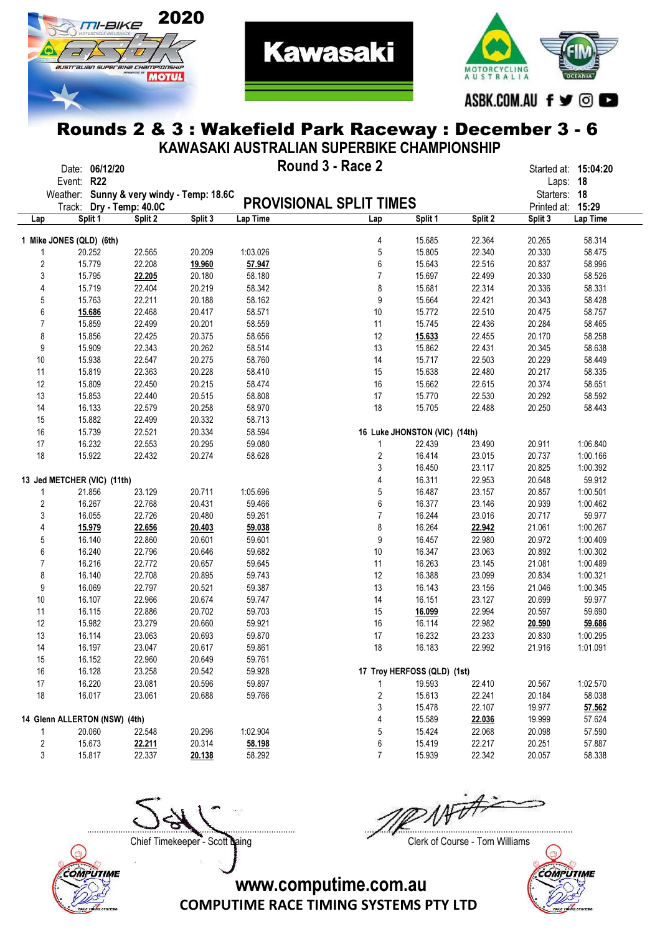



**Kawasaki** 

|                |                                           |         |         |          | KAWASAKI AUSTRALIAN SUPERBIKE CHAMPIONSHIP |                               |         |              |                      |  |
|----------------|-------------------------------------------|---------|---------|----------|--------------------------------------------|-------------------------------|---------|--------------|----------------------|--|
|                | Date: 06/12/20                            |         |         |          | Round 3 - Race 2                           |                               |         |              | Started at: 15:04:20 |  |
|                | Event: R22                                |         |         |          |                                            |                               |         |              | Laps: 18             |  |
|                | Weather: Sunny & very windy - Temp: 18.6C |         |         |          |                                            |                               |         | Starters: 18 |                      |  |
|                | Track: Dry - Temp: 40.0C                  |         |         |          | <b>PROVISIONAL SPLIT TIMES</b>             |                               |         | Printed at:  | 15:29                |  |
| Lap            | Split 1                                   | Split 2 | Split 3 | Lap Time | Lap                                        | Split 1                       | Split 2 | Split 3      | Lap Time             |  |
|                |                                           |         |         |          |                                            |                               |         |              |                      |  |
|                | 1 Mike JONES (QLD) (6th)                  |         |         |          | 4                                          | 15.685                        | 22.364  | 20.265       | 58.314               |  |
| 1              | 20.252                                    | 22.565  | 20.209  | 1:03.026 | 5                                          | 15.805                        | 22.340  | 20.330       | 58.475               |  |
| 2              | 15.779                                    | 22.208  | 19.960  | 57.947   | 6                                          | 15.643                        | 22.516  | 20.837       | 58.996               |  |
| 3              | 15.795                                    | 22.205  | 20.180  | 58.180   | $\overline{7}$                             | 15.697                        | 22.499  | 20.330       | 58.526               |  |
| 4              | 15.719                                    | 22.404  | 20.219  | 58.342   | 8                                          | 15.681                        | 22.314  | 20.336       | 58.331               |  |
| 5              | 15.763                                    | 22.211  | 20.188  | 58.162   | 9                                          | 15.664                        | 22.421  | 20.343       | 58.428               |  |
| 6              | 15.686                                    | 22.468  | 20.417  | 58.571   | 10                                         | 15.772                        | 22.510  | 20.475       | 58.757               |  |
| 7              | 15.859                                    | 22.499  | 20.201  | 58.559   | 11                                         | 15.745                        | 22.436  | 20.284       | 58.465               |  |
| 8              | 15.856                                    | 22.425  | 20.375  | 58.656   | 12                                         | 15.633                        | 22.455  | 20.170       | 58.258               |  |
| 9              | 15.909                                    | 22.343  | 20.262  | 58.514   | 13                                         | 15.862                        | 22.431  | 20.345       | 58.638               |  |
| $10$           | 15.938                                    | 22.547  | 20.275  | 58.760   | 14                                         | 15.717                        | 22.503  | 20.229       | 58.449               |  |
| 11             | 15.819                                    | 22.363  | 20.228  | 58.410   | 15                                         | 15.638                        | 22.480  | 20.217       | 58.335               |  |
| 12             | 15.809                                    | 22.450  | 20.215  | 58.474   | 16                                         | 15.662                        | 22.615  | 20.374       | 58.651               |  |
| 13             | 15.853                                    | 22.440  | 20.515  | 58.808   | 17                                         | 15.770                        | 22.530  | 20.292       | 58.592               |  |
| 14             | 16.133                                    | 22.579  | 20.258  | 58.970   | 18                                         | 15.705                        | 22.488  | 20.250       | 58.443               |  |
| 15             | 15.882                                    | 22.499  | 20.332  | 58.713   |                                            |                               |         |              |                      |  |
| $16\,$         | 15.739                                    | 22.521  | 20.334  | 58.594   |                                            | 16 Luke JHONSTON (VIC) (14th) |         |              |                      |  |
| 17             | 16.232                                    | 22.553  | 20.295  | 59.080   | 1                                          | 22.439                        | 23.490  | 20.911       | 1:06.840             |  |
| 18             | 15.922                                    | 22.432  | 20.274  | 58.628   | 2                                          | 16.414                        | 23.015  | 20.737       | 1:00.166             |  |
|                |                                           |         |         |          | 3                                          | 16.450                        | 23.117  | 20.825       | 1:00.392             |  |
|                | 13 Jed METCHER (VIC) (11th)               |         |         |          | 4                                          | 16.311                        | 22.953  | 20.648       | 59.912               |  |
| 1              | 21.856                                    | 23.129  | 20.711  | 1:05.696 | 5                                          | 16.487                        | 23.157  | 20.857       | 1:00.501             |  |
| 2              | 16.267                                    | 22.768  | 20.431  | 59.466   | 6                                          | 16.377                        | 23.146  | 20.939       | 1:00.462             |  |
| 3              | 16.055                                    | 22.726  | 20.480  | 59.261   | $\overline{7}$                             | 16.244                        | 23.016  | 20.717       | 59.977               |  |
| 4              | 15.979                                    | 22.656  | 20.403  | 59.038   | 8                                          | 16.264                        | 22.942  | 21.061       | 1:00.267             |  |
| 5              | 16.140                                    | 22.860  | 20.601  | 59.601   | 9                                          | 16.457                        | 22.980  | 20.972       | 1:00.409             |  |
| 6              | 16.240                                    | 22.796  | 20.646  | 59.682   | 10                                         | 16.347                        | 23.063  | 20.892       | 1:00.302             |  |
| $\overline{7}$ | 16.216                                    | 22.772  | 20.657  | 59.645   | 11                                         | 16.263                        | 23.145  | 21.081       | 1:00.489             |  |
| 8              | 16.140                                    | 22.708  | 20.895  | 59.743   | 12                                         | 16.388                        | 23.099  | 20.834       | 1:00.321             |  |
| 9              | 16.069                                    | 22.797  | 20.521  | 59.387   | 13                                         | 16.143                        | 23.156  | 21.046       | 1:00.345             |  |
| $10$           | 16.107                                    | 22.966  | 20.674  | 59.747   | 14                                         | 16.151                        | 23.127  | 20.699       | 59.977               |  |
| 11             | 16.115                                    | 22.886  | 20.702  | 59.703   | 15                                         | 16.099                        | 22.994  | 20.597       | 59.690               |  |
| 12             | 15.982                                    | 23.279  | 20.660  | 59.921   | 16                                         | 16.114                        | 22.982  | 20.590       | 59.686               |  |
| 13             | 16.114                                    | 23.063  | 20.693  | 59.870   | 17                                         | 16.232                        | 23.233  | 20.830       | 1:00.295             |  |
| 14             | 16.197                                    | 23.047  | 20.617  | 59.861   | 18                                         | 16.183                        | 22.992  | 21.916       | 1:01.091             |  |
| 15             | 16.152                                    | 22.960  | 20.649  | 59.761   |                                            |                               |         |              |                      |  |
| 16             | 16.128                                    | 23.258  | 20.542  | 59.928   |                                            | 17 Troy HERFOSS (QLD) (1st)   |         |              |                      |  |
| 17             | 16.220                                    | 23.081  | 20.596  | 59.897   | $\mathbf{1}$                               | 19.593                        | 22.410  | 20.567       | 1:02.570             |  |
| 18             | 16.017                                    | 23.061  | 20.688  | 59.766   | 2                                          | 15.613                        | 22.241  | 20.184       | 58.038               |  |
|                |                                           |         |         |          | 3                                          | 15.478                        | 22.107  | 19.977       | 57.562               |  |
|                | 14 Glenn ALLERTON (NSW) (4th)             |         |         |          | 4                                          | 15.589                        | 22.036  | 19.999       | 57.624               |  |
| $\mathbf{1}$   | 20.060                                    | 22.548  | 20.296  | 1:02.904 | 5                                          | 15.424                        | 22.068  | 20.098       | 57.590               |  |
| $\overline{2}$ | 15.673                                    | 22.211  | 20.314  | 58.198   | 6                                          | 15.419                        | 22.217  | 20.251       | 57.887               |  |



....................................................................................... .......................................................................................

Chief Timekeeper - Scott Laing Chief Timekeeper - Scott Laing



COMPUTIME RACE TIMING SYSTEMS PTY LTD www.computime.com.au

3 15.817 22.337 20.138 58.292 7 15.939 22.342 20.057 58.338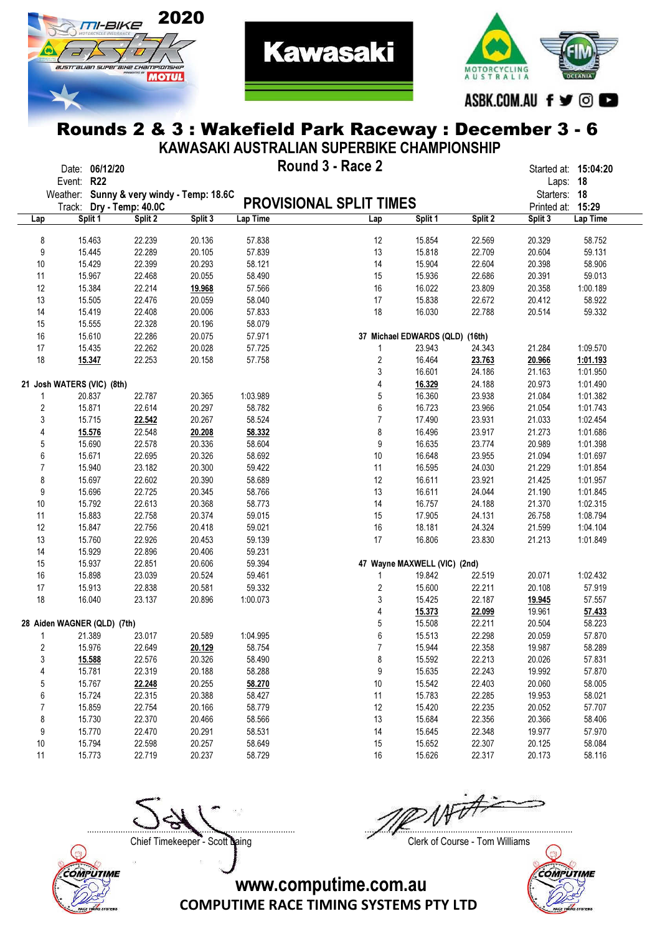



**Kawasaki** 

|     |                                           |                   |         |          | KAWASAKI AUSTRALIAN SUPERBIKE CHAMPIONSHIP |                                 |         |             |                      |  |
|-----|-------------------------------------------|-------------------|---------|----------|--------------------------------------------|---------------------------------|---------|-------------|----------------------|--|
|     | Date: 06/12/20                            |                   |         |          | Round 3 - Race 2                           |                                 |         |             | Started at: 15:04:20 |  |
|     | Event: R22                                |                   |         |          |                                            |                                 |         | Laps:       | 18                   |  |
|     | Weather: Sunny & very windy - Temp: 18.6C |                   |         |          |                                            |                                 |         | Starters:   | 18                   |  |
|     | Track:                                    | Dry - Temp: 40.0C |         |          | <b>PROVISIONAL SPLIT TIMES</b>             |                                 |         | Printed at: | 15:29                |  |
| Lap | Split 1                                   | Split 2           | Split 3 | Lap Time | Lap                                        | Split 1                         | Split 2 | Split 3     | Lap Time             |  |
|     |                                           |                   |         |          |                                            |                                 |         |             |                      |  |
| 8   | 15.463                                    | 22.239            | 20.136  | 57.838   | 12                                         | 15.854                          | 22.569  | 20.329      | 58.752               |  |
| 9   | 15.445                                    | 22.289            | 20.105  | 57.839   | 13                                         | 15.818                          | 22.709  | 20.604      | 59.131               |  |
| 10  | 15.429                                    | 22.399            | 20.293  | 58.121   | 14                                         | 15.904                          | 22.604  | 20.398      | 58.906               |  |
| 11  | 15.967                                    | 22.468            | 20.055  | 58.490   | 15                                         | 15.936                          | 22.686  | 20.391      | 59.013               |  |
| 12  | 15.384                                    | 22.214            | 19.968  | 57.566   | 16                                         | 16.022                          | 23.809  | 20.358      | 1:00.189             |  |
| 13  | 15.505                                    | 22.476            | 20.059  | 58.040   | 17                                         | 15.838                          | 22.672  | 20.412      | 58.922               |  |
| 14  | 15.419                                    | 22.408            | 20.006  | 57.833   | 18                                         | 16.030                          | 22.788  | 20.514      | 59.332               |  |
| 15  | 15.555                                    | 22.328            | 20.196  | 58.079   |                                            |                                 |         |             |                      |  |
| 16  | 15.610                                    | 22.286            | 20.075  | 57.971   |                                            | 37 Michael EDWARDS (QLD) (16th) |         |             |                      |  |
| 17  | 15.435                                    | 22.262            | 20.028  | 57.725   | 1                                          | 23.943                          | 24.343  | 21.284      | 1:09.570             |  |
| 18  | 15.347                                    | 22.253            | 20.158  | 57.758   | 2                                          | 16.464                          | 23.763  | 20.966      | 1:01.193             |  |
|     |                                           |                   |         |          | 3                                          | 16.601                          | 24.186  | 21.163      | 1:01.950             |  |
|     | 21 Josh WATERS (VIC) (8th)                |                   |         |          | 4                                          | 16.329                          | 24.188  | 20.973      | 1:01.490             |  |
| 1   | 20.837                                    | 22.787            | 20.365  | 1:03.989 | 5                                          | 16.360                          | 23.938  | 21.084      | 1:01.382             |  |
| 2   | 15.871                                    | 22.614            | 20.297  | 58.782   | 6                                          | 16.723                          | 23.966  | 21.054      | 1:01.743             |  |
| 3   | 15.715                                    | 22.542            | 20.267  | 58.524   | $\overline{7}$                             | 17.490                          | 23.931  | 21.033      | 1:02.454             |  |
| 4   | 15.576                                    | 22.548            | 20.208  | 58.332   | 8                                          | 16.496                          | 23.917  | 21.273      | 1:01.686             |  |
| 5   | 15.690                                    | 22.578            | 20.336  | 58.604   | 9                                          | 16.635                          | 23.774  | 20.989      | 1:01.398             |  |
| 6   | 15.671                                    | 22.695            | 20.326  | 58.692   | 10                                         | 16.648                          | 23.955  | 21.094      | 1:01.697             |  |
| 7   | 15.940                                    | 23.182            | 20.300  | 59.422   | 11                                         | 16.595                          | 24.030  | 21.229      | 1:01.854             |  |
| 8   | 15.697                                    | 22.602            | 20.390  | 58.689   | 12                                         | 16.611                          | 23.921  | 21.425      | 1:01.957             |  |
| 9   | 15.696                                    | 22.725            | 20.345  | 58.766   | 13                                         | 16.611                          | 24.044  | 21.190      | 1:01.845             |  |
| 10  | 15.792                                    | 22.613            | 20.368  | 58.773   | 14                                         | 16.757                          | 24.188  | 21.370      | 1:02.315             |  |
| 11  | 15.883                                    | 22.758            | 20.374  | 59.015   | 15                                         | 17.905                          | 24.131  | 26.758      | 1:08.794             |  |
| 12  | 15.847                                    | 22.756            | 20.418  | 59.021   | 16                                         | 18.181                          | 24.324  | 21.599      | 1:04.104             |  |
| 13  | 15.760                                    | 22.926            | 20.453  | 59.139   | 17                                         | 16.806                          | 23.830  | 21.213      | 1:01.849             |  |
| 14  | 15.929                                    | 22.896            | 20.406  | 59.231   |                                            |                                 |         |             |                      |  |
| 15  | 15.937                                    | 22.851            | 20.606  | 59.394   |                                            | 47 Wayne MAXWELL (VIC) (2nd)    |         |             |                      |  |
| 16  | 15.898                                    | 23.039            | 20.524  | 59.461   | 1                                          | 19.842                          | 22.519  | 20.071      | 1:02.432             |  |
| 17  | 15.913                                    | 22.838            | 20.581  | 59.332   | 2                                          | 15.600                          | 22.211  | 20.108      | 57.919               |  |
| 18  | 16.040                                    | 23.137            | 20.896  | 1:00.073 | 3                                          | 15.425                          | 22.187  | 19.945      | 57.557               |  |
|     |                                           |                   |         |          | 4                                          | 15.373                          | 22.099  | 19.961      | 57.433               |  |
|     | 28 Aiden WAGNER (QLD) (7th)               |                   |         |          | 5                                          | 15.508                          | 22.211  | 20.504      | 58.223               |  |
|     | 21.389                                    | 23.017            | 20.589  | 1:04.995 | 6                                          | 15.513                          | 22.298  | 20.059      | 57.870               |  |
| 2   | 15.976                                    | 22.649            | 20.129  | 58.754   | $\overline{7}$                             | 15.944                          | 22.358  | 19.987      | 58.289               |  |
| 3   | 15.588                                    | 22.576            | 20.326  | 58.490   | 8                                          | 15.592                          | 22.213  | 20.026      | 57.831               |  |
| 4   | 15.781                                    | 22.319            | 20.188  | 58.288   | 9                                          | 15.635                          | 22.243  | 19.992      | 57.870               |  |
| 5   | 15.767                                    | 22.248            | 20.255  | 58.270   | 10                                         | 15.542                          | 22.403  | 20.060      | 58.005               |  |
| 6   | 15.724                                    | 22.315            | 20.388  | 58.427   | 11                                         | 15.783                          | 22.285  | 19.953      | 58.021               |  |
| 7   | 15.859                                    | 22.754            | 20.166  | 58.779   | 12                                         | 15.420                          | 22.235  | 20.052      | 57.707               |  |
| 8   | 15.730                                    | 22.370            | 20.466  | 58.566   | 13                                         | 15.684                          | 22.356  | 20.366      | 58.406               |  |
| 9   | 15.770                                    | 22.470            | 20.291  | 58.531   | 14                                         | 15.645                          | 22.348  | 19.977      | 57.970               |  |



....................................................................................... .......................................................................................

Chief Timekeeper - Scott Laing Chief Timekeeper - Scott Laing



COMPUTIME RACE TIMING SYSTEMS PTY LTD www.computime.com.au

10 15.794 22.598 20.257 58.649 15 15.652 22.307 20.125 58.084 11 15.773 22.719 20.237 58.729 16 15.626 22.317 20.173 58.116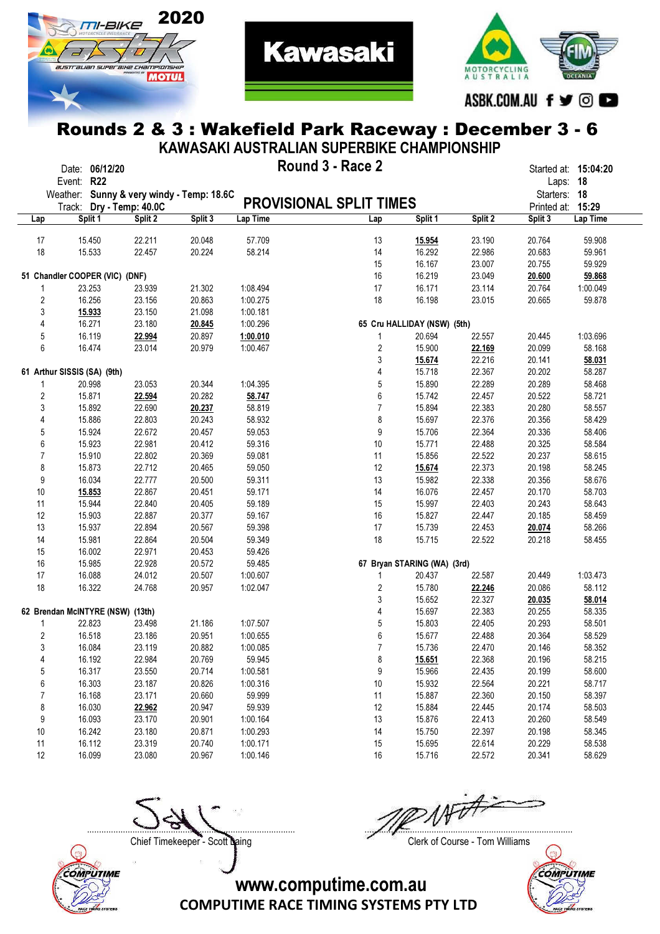



**Kawasaki** 

|                |                                |                |                                           |         |          | KAWASAKI AUSTRALIAN SUPERBIKE CHAMPIONSHIP |                             |         |              |                      |
|----------------|--------------------------------|----------------|-------------------------------------------|---------|----------|--------------------------------------------|-----------------------------|---------|--------------|----------------------|
|                |                                | Date: 06/12/20 |                                           |         |          | Round 3 - Race 2                           |                             |         |              | Started at: 15:04:20 |
|                | Event: R22                     |                |                                           |         |          |                                            |                             |         |              | Laps: 18             |
|                |                                |                | Weather: Sunny & very windy - Temp: 18.6C |         |          |                                            |                             |         | Starters: 18 |                      |
|                |                                |                | Track: Dry - Temp: 40.0C                  |         |          | <b>PROVISIONAL SPLIT TIMES</b>             |                             |         | Printed at:  | 15:29                |
| Lap            |                                | Split 1        | Split 2                                   | Split 3 | Lap Time | Lap                                        | Split 1                     | Split 2 | Split 3      | Lap Time             |
|                |                                |                |                                           |         |          |                                            |                             |         |              |                      |
| 17             |                                | 15.450         | 22.211                                    | 20.048  | 57.709   | 13                                         | 15.954                      | 23.190  | 20.764       | 59.908               |
| 18             |                                | 15.533         | 22.457                                    | 20.224  | 58.214   | 14                                         | 16.292                      | 22.986  | 20.683       | 59.961               |
|                |                                |                |                                           |         |          | 15                                         | 16.167                      | 23.007  | 20.755       | 59.929               |
|                | 51 Chandler COOPER (VIC) (DNF) |                |                                           |         |          | 16                                         | 16.219                      | 23.049  | 20.600       | 59.868               |
| 1              |                                | 23.253         | 23.939                                    | 21.302  | 1:08.494 | 17                                         | 16.171                      | 23.114  | 20.764       | 1:00.049             |
| 2              |                                | 16.256         | 23.156                                    | 20.863  | 1:00.275 | 18                                         | 16.198                      | 23.015  | 20.665       | 59.878               |
| 3              |                                | 15.933         | 23.150                                    | 21.098  | 1:00.181 |                                            |                             |         |              |                      |
| 4              |                                | 16.271         | 23.180                                    | 20.845  | 1:00.296 |                                            | 65 Cru HALLIDAY (NSW) (5th) |         |              |                      |
| 5              |                                | 16.119         | 22.994                                    | 20.897  | 1:00.010 | 1                                          | 20.694                      | 22.557  | 20.445       | 1:03.696             |
| 6              |                                | 16.474         | 23.014                                    | 20.979  | 1:00.467 | $\sqrt{2}$                                 | 15.900                      | 22.169  | 20.099       | 58.168               |
|                |                                |                |                                           |         |          | 3                                          | 15.674                      | 22.216  | 20.141       | 58.031               |
|                | 61 Arthur SISSIS (SA) (9th)    |                |                                           |         |          | 4                                          | 15.718                      | 22.367  | 20.202       | 58.287               |
| 1              |                                | 20.998         | 23.053                                    | 20.344  | 1:04.395 | $\sqrt{5}$                                 | 15.890                      | 22.289  | 20.289       | 58.468               |
| $\overline{2}$ |                                | 15.871         | 22.594                                    | 20.282  | 58.747   | $\boldsymbol{6}$                           | 15.742                      | 22.457  | 20.522       | 58.721               |
| 3              |                                | 15.892         | 22.690                                    | 20.237  | 58.819   | $\overline{7}$                             | 15.894                      | 22.383  | 20.280       | 58.557               |
| 4              |                                | 15.886         | 22.803                                    | 20.243  | 58.932   | 8                                          | 15.697                      | 22.376  | 20.356       | 58.429               |
| 5              |                                | 15.924         | 22.672                                    | 20.457  | 59.053   | 9                                          | 15.706                      | 22.364  | 20.336       | 58.406               |
| 6              |                                | 15.923         | 22.981                                    | 20.412  | 59.316   | 10                                         | 15.771                      | 22.488  | 20.325       | 58.584               |
| 7              |                                | 15.910         | 22.802                                    | 20.369  | 59.081   | 11                                         | 15.856                      | 22.522  | 20.237       | 58.615               |
| 8              |                                | 15.873         | 22.712                                    | 20.465  | 59.050   | 12                                         | 15.674                      | 22.373  | 20.198       | 58.245               |
| 9              |                                | 16.034         | 22.777                                    | 20.500  | 59.311   | 13                                         | 15.982                      | 22.338  | 20.356       | 58.676               |
| $10$           |                                | 15.853         | 22.867                                    | 20.451  | 59.171   | 14                                         | 16.076                      | 22.457  | 20.170       | 58.703               |
| 11             |                                | 15.944         | 22.840                                    | 20.405  | 59.189   | 15                                         | 15.997                      | 22.403  | 20.243       | 58.643               |
| 12             |                                | 15.903         | 22.887                                    | 20.377  | 59.167   | 16                                         | 15.827                      | 22.447  | 20.185       | 58.459               |
| 13             |                                | 15.937         | 22.894                                    | 20.567  | 59.398   | 17                                         | 15.739                      | 22.453  | 20.074       | 58.266               |
| 14             |                                | 15.981         | 22.864                                    | 20.504  | 59.349   | 18                                         | 15.715                      | 22.522  | 20.218       | 58.455               |
| 15             |                                | 16.002         | 22.971                                    | 20.453  | 59.426   |                                            |                             |         |              |                      |
| 16             |                                | 15.985         | 22.928                                    | 20.572  | 59.485   |                                            | 67 Bryan STARING (WA) (3rd) |         |              |                      |
| 17             |                                | 16.088         | 24.012                                    | 20.507  | 1:00.607 | 1                                          | 20.437                      | 22.587  | 20.449       | 1:03.473             |
| 18             |                                | 16.322         | 24.768                                    | 20.957  | 1:02.047 | 2                                          | 15.780                      | 22.246  | 20.086       | 58.112               |
|                |                                |                |                                           |         |          | 3                                          | 15.652                      | 22.327  | 20.035       | 58.014               |
|                |                                |                | 62 Brendan McINTYRE (NSW) (13th)          |         |          | 4                                          | 15.697                      | 22.383  | 20.255       | 58.335               |
| 1              |                                | 22.823         | 23.498                                    | 21.186  | 1:07.507 | 5                                          | 15.803                      | 22.405  | 20.293       | 58.501               |
| $\overline{2}$ |                                | 16.518         | 23.186                                    | 20.951  | 1:00.655 | 6                                          | 15.677                      | 22.488  | 20.364       | 58.529               |
| 3              |                                | 16.084         | 23.119                                    | 20.882  | 1:00.085 | $\overline{7}$                             | 15.736                      | 22.470  | 20.146       | 58.352               |
| 4              |                                | 16.192         | 22.984                                    | 20.769  | 59.945   | 8                                          | 15.651                      | 22.368  | 20.196       | 58.215               |
| 5              |                                | 16.317         | 23.550                                    | 20.714  | 1:00.581 | 9                                          | 15.966                      | 22.435  | 20.199       | 58.600               |
| 6              |                                | 16.303         | 23.187                                    | 20.826  | 1:00.316 | 10                                         | 15.932                      | 22.564  | 20.221       | 58.717               |
| 7              |                                | 16.168         | 23.171                                    | 20.660  | 59.999   | 11                                         | 15.887                      | 22.360  | 20.150       | 58.397               |
| 8              |                                | 16.030         | 22.962                                    | 20.947  | 59.939   | 12                                         | 15.884                      | 22.445  | 20.174       | 58.503               |
| 9              |                                | 16.093         | 23.170                                    | 20.901  | 1:00.164 | 13                                         | 15.876                      | 22.413  | 20.260       | 58.549               |
| 10             |                                | 16.242         | 23.180                                    | 20.871  | 1:00.293 | 14                                         | 15.750                      | 22.397  | 20.198       | 58.345               |
| 11             |                                | 16.112         | 23.319                                    | 20.740  | 1:00.171 | 15                                         | 15.695                      | 22.614  | 20.229       | 58.538               |
|                |                                |                |                                           |         |          |                                            |                             |         |              |                      |



....................................................................................... .......................................................................................

Chief Timekeeper - Scott Laing Chief Timekeeper - Scott Laing



COMPUTIME RACE TIMING SYSTEMS PTY LTD www.computime.com.au

12 16.099 23.080 20.967 1:00.146 16 15.716 22.572 20.341 58.629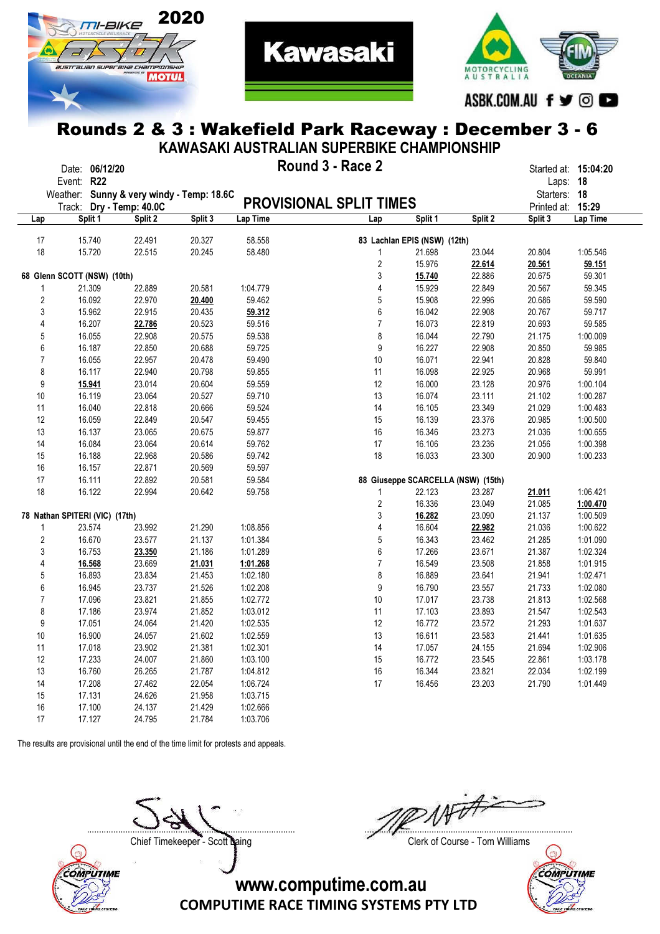



**Kawasaki** 

|                |                                |                                           |         |                 | KAWASAKI AUSTRALIAN SUPERBIKE CHAMPIONSHIP |                              |                                    |              |                      |  |
|----------------|--------------------------------|-------------------------------------------|---------|-----------------|--------------------------------------------|------------------------------|------------------------------------|--------------|----------------------|--|
|                | Date: 06/12/20                 |                                           |         |                 | Round 3 - Race 2                           |                              |                                    |              | Started at: 15:04:20 |  |
|                | Event: R22                     |                                           |         |                 |                                            |                              |                                    |              | Laps: 18             |  |
|                |                                | Weather: Sunny & very windy - Temp: 18.6C |         |                 |                                            |                              |                                    | Starters: 18 |                      |  |
|                | Track:                         | Dry - Temp: 40.0C                         |         |                 | <b>PROVISIONAL SPLIT TIMES</b>             |                              |                                    | Printed at:  | 15:29                |  |
| Lap            | Split 1                        | Split 2                                   | Split 3 | <b>Lap Time</b> | Lap                                        | Split 1                      | Split 2                            | Split 3      | Lap Time             |  |
|                |                                |                                           |         |                 |                                            |                              |                                    |              |                      |  |
| 17             | 15.740                         | 22.491                                    | 20.327  | 58.558          |                                            | 83 Lachlan EPIS (NSW) (12th) |                                    |              |                      |  |
| 18             | 15.720                         | 22.515                                    | 20.245  | 58.480          | 1                                          | 21.698                       | 23.044                             | 20.804       | 1:05.546             |  |
|                |                                |                                           |         |                 | $\overline{\mathbf{c}}$                    | 15.976                       | 22.614                             | 20.561       | 59.151               |  |
|                | 68 Glenn SCOTT (NSW) (10th)    |                                           |         |                 | 3                                          | 15.740                       | 22.886                             | 20.675       | 59.301               |  |
| 1              | 21.309                         | 22.889                                    | 20.581  | 1:04.779        | 4                                          | 15.929                       | 22.849                             | 20.567       | 59.345               |  |
| 2              | 16.092                         | 22.970                                    | 20.400  | 59.462          | 5                                          | 15.908                       | 22.996                             | 20.686       | 59.590               |  |
| 3              | 15.962                         | 22.915                                    | 20.435  | 59.312          | 6                                          | 16.042                       | 22.908                             | 20.767       | 59.717               |  |
| 4              | 16.207                         | 22.786                                    | 20.523  | 59.516          | $\overline{7}$                             | 16.073                       | 22.819                             | 20.693       | 59.585               |  |
| 5              | 16.055                         | 22.908                                    | 20.575  | 59.538          | 8                                          | 16.044                       | 22.790                             | 21.175       | 1:00.009             |  |
| 6              | 16.187                         | 22.850                                    | 20.688  | 59.725          | 9                                          | 16.227                       | 22.908                             | 20.850       | 59.985               |  |
| $\overline{7}$ | 16.055                         | 22.957                                    | 20.478  | 59.490          | 10                                         | 16.071                       | 22.941                             | 20.828       | 59.840               |  |
| 8              | 16.117                         | 22.940                                    | 20.798  | 59.855          | 11                                         | 16.098                       | 22.925                             | 20.968       | 59.991               |  |
| 9              | 15.941                         | 23.014                                    | 20.604  | 59.559          | 12                                         | 16.000                       | 23.128                             | 20.976       | 1:00.104             |  |
| 10             | 16.119                         | 23.064                                    | 20.527  | 59.710          | 13                                         | 16.074                       | 23.111                             | 21.102       | 1:00.287             |  |
| 11             | 16.040                         | 22.818                                    | 20.666  | 59.524          | 14                                         | 16.105                       | 23.349                             | 21.029       | 1:00.483             |  |
| 12             | 16.059                         | 22.849                                    | 20.547  | 59.455          | 15                                         | 16.139                       | 23.376                             | 20.985       | 1:00.500             |  |
| 13             | 16.137                         | 23.065                                    | 20.675  | 59.877          | 16                                         | 16.346                       | 23.273                             | 21.036       | 1:00.655             |  |
| 14             | 16.084                         | 23.064                                    | 20.614  | 59.762          | 17                                         | 16.106                       | 23.236                             | 21.056       | 1:00.398             |  |
| 15             | 16.188                         | 22.968                                    | 20.586  | 59.742          | 18                                         | 16.033                       | 23.300                             | 20.900       | 1:00.233             |  |
| 16             | 16.157                         | 22.871                                    | 20.569  | 59.597          |                                            |                              |                                    |              |                      |  |
| 17             | 16.111                         | 22.892                                    | 20.581  | 59.584          |                                            |                              | 88 Giuseppe SCARCELLA (NSW) (15th) |              |                      |  |
| 18             | 16.122                         | 22.994                                    | 20.642  | 59.758          | 1                                          | 22.123                       | 23.287                             | 21.011       | 1:06.421             |  |
|                |                                |                                           |         |                 | $\overline{\mathbf{c}}$                    | 16.336                       | 23.049                             | 21.085       | 1:00.470             |  |
|                | 78 Nathan SPITERI (VIC) (17th) |                                           |         |                 | 3                                          | 16.282                       | 23.090                             | 21.137       | 1:00.509             |  |
| 1              | 23.574                         | 23.992                                    | 21.290  | 1:08.856        | 4                                          | 16.604                       | 22.982                             | 21.036       | 1:00.622             |  |
| 2              | 16.670                         | 23.577                                    | 21.137  | 1:01.384        | 5                                          | 16.343                       | 23.462                             | 21.285       | 1:01.090             |  |
| 3              | 16.753                         | 23.350                                    | 21.186  | 1:01.289        | 6                                          | 17.266                       | 23.671                             | 21.387       | 1:02.324             |  |
| 4              | 16.568                         | 23.669                                    | 21.031  | 1:01.268        | $\overline{7}$                             | 16.549                       | 23.508                             | 21.858       | 1:01.915             |  |
| 5              | 16.893                         | 23.834                                    | 21.453  | 1:02.180        | 8                                          | 16.889                       | 23.641                             | 21.941       | 1:02.471             |  |
| 6              | 16.945                         | 23.737                                    | 21.526  | 1:02.208        | 9                                          | 16.790                       | 23.557                             | 21.733       | 1:02.080             |  |
| 7              | 17.096                         | 23.821                                    | 21.855  | 1:02.772        | 10                                         | 17.017                       | 23.738                             | 21.813       | 1:02.568             |  |
| 8              | 17.186                         | 23.974                                    | 21.852  | 1:03.012        | 11                                         | 17.103                       | 23.893                             | 21.547       | 1:02.543             |  |
| 9              | 17.051                         | 24.064                                    | 21.420  | 1:02.535        | 12                                         | 16.772                       | 23.572                             | 21.293       | 1:01.637             |  |
| 10             | 16.900                         | 24.057                                    | 21.602  | 1:02.559        | 13                                         | 16.611                       | 23.583                             | 21.441       | 1:01.635             |  |
| 11             | 17.018                         | 23.902                                    | 21.381  | 1:02.301        | 14                                         | 17.057                       | 24.155                             | 21.694       | 1:02.906             |  |
| 12             | 17.233                         | 24.007                                    | 21.860  | 1:03.100        | 15                                         | 16.772                       | 23.545                             | 22.861       | 1:03.178             |  |
| 13             | 16.760                         | 26.265                                    | 21.787  | 1:04.812        | 16                                         | 16.344                       | 23.821                             | 22.034       | 1:02.199             |  |
| 14             | 17.208                         | 27.462                                    | 22.054  | 1:06.724        | 17                                         | 16.456                       | 23.203                             | 21.790       | 1:01.449             |  |
| 15             | 17.131                         | 24.626                                    | 21.958  | 1:03.715        |                                            |                              |                                    |              |                      |  |
| 16             | 17.100                         | 24.137                                    | 21.429  | 1:02.666        |                                            |                              |                                    |              |                      |  |
| 17             | 17.127                         | 24.795                                    | 21.784  | 1:03.706        |                                            |                              |                                    |              |                      |  |

The results are provisional until the end of the time limit for protests and appeals.



....................................................................................... .......................................................................................

Chief Timekeeper - Scott Laing Chief Timekeeper - Scott Laing

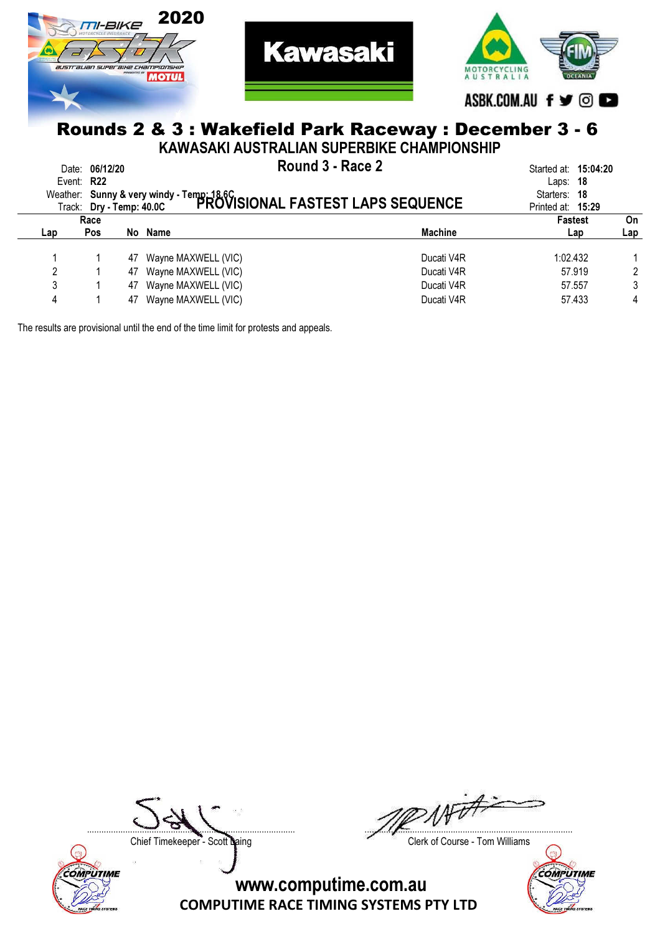



**Kawasaki** 

| KAWASAKI AUSTRALIAN SUPERBIKE CHAMPIONSHIP |  |
|--------------------------------------------|--|
|--------------------------------------------|--|

|     | Date: 06/12/20<br>Event: R22<br>Track: Dry - Temp: 40.0C |    | Round 3 - Race 2<br>Weather: Sunny & very windy - Temp: 18.6C<br>Track: Dry - Temp: 40.0C PROVISIONAL FASTEST LAPS SEQUENCE |                | Started at: 15:04:20<br>Laps: $18$<br>Starters: 18<br>Printed at: 15:29 |     |
|-----|----------------------------------------------------------|----|-----------------------------------------------------------------------------------------------------------------------------|----------------|-------------------------------------------------------------------------|-----|
|     | Race                                                     |    |                                                                                                                             |                | <b>Fastest</b>                                                          | On  |
| Lap | <b>Pos</b>                                               |    | No Name                                                                                                                     | <b>Machine</b> | Lap                                                                     | Lap |
|     |                                                          |    | 47 Wayne MAXWELL (VIC)                                                                                                      | Ducati V4R     | 1:02.432                                                                |     |
| 2   |                                                          |    | 47 Wayne MAXWELL (VIC)                                                                                                      | Ducati V4R     | 57.919                                                                  |     |
| 3   |                                                          |    | 47 Wayne MAXWELL (VIC)                                                                                                      | Ducati V4R     | 57.557                                                                  |     |
| 4   |                                                          | 47 | Wayne MAXWELL (VIC)                                                                                                         | Ducati V4R     | 57.433                                                                  | 4   |

The results are provisional until the end of the time limit for protests and appeals.



....................................................................................... .......................................................................................

Chief Timekeeper - Scott Laing Chief Timekeeper - Scott Laing

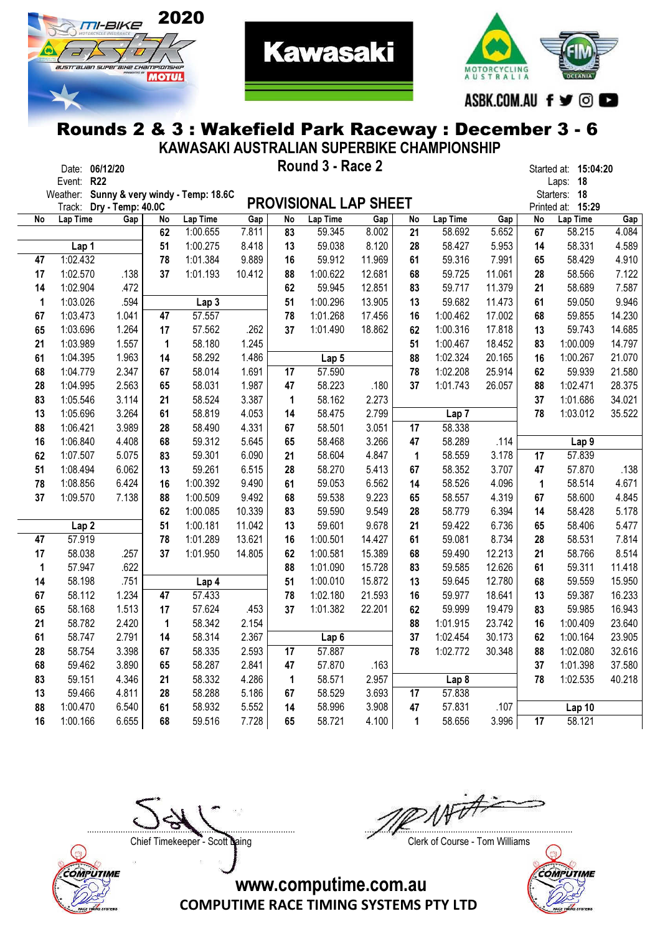



**Kawasaki** 

|                                                                                         |                  |                   |    | KAWASAKI AUSTRALIAN SUPERBIKE CHAMPIONSHIP |        |          |                              |                  |              |                    |        |             |                  |        |
|-----------------------------------------------------------------------------------------|------------------|-------------------|----|--------------------------------------------|--------|----------|------------------------------|------------------|--------------|--------------------|--------|-------------|------------------|--------|
| Round 3 - Race 2<br>06/12/20<br>Started at: 15:04:20<br>Date:<br>Event: R22<br>Laps: 18 |                  |                   |    |                                            |        |          |                              |                  |              |                    |        |             |                  |        |
|                                                                                         |                  |                   |    |                                            |        |          |                              |                  |              |                    |        |             |                  |        |
|                                                                                         | Weather:         |                   |    | Sunny & very windy - Temp: 18.6C           |        |          |                              |                  |              |                    |        |             | Starters: 18     |        |
|                                                                                         | Track:           | Dry - Temp: 40.0C |    |                                            |        |          | <b>PROVISIONAL LAP SHEET</b> |                  |              |                    |        | Printed at: | 15:29            |        |
| No                                                                                      | Lap Time         | Gap               | No | Lap Time                                   | Gap    | No       | Lap Time                     | Gap              | No           | Lap Time           | Gap    | No          | Lap Time         | Gap    |
|                                                                                         |                  |                   | 62 | 1:00.655                                   | 7.811  | 83       | 59.345                       | 8.002            | 21           | 58.692             | 5.652  | 67          | 58.215           | 4.084  |
|                                                                                         | Lap 1            |                   | 51 | 1:00.275                                   | 8.418  | 13       | 59.038                       | 8.120            | 28           | 58.427             | 5.953  | 14          | 58.331           | 4.589  |
| 47                                                                                      | 1:02.432         |                   | 78 | 1:01.384                                   | 9.889  | 16       | 59.912                       | 11.969           | 61           | 59.316             | 7.991  | 65          | 58.429           | 4.910  |
| 17                                                                                      | 1:02.570         | .138              | 37 | 1:01.193                                   | 10.412 | 88       | 1:00.622                     | 12.681           | 68           | 59.725             | 11.061 | 28          | 58.566           | 7.122  |
| 14                                                                                      | 1:02.904         | .472              |    |                                            |        | 62       | 59.945                       | 12.851           | 83           | 59.717             | 11.379 | 21          | 58.689           | 7.587  |
| 1                                                                                       | 1:03.026         | .594<br>1.041     | 47 | Lap <sub>3</sub><br>57.557                 |        | 51<br>78 | 1:00.296<br>1:01.268         | 13.905<br>17.456 | 13<br>16     | 59.682<br>1:00.462 | 11.473 | 61          | 59.050           | 9.946  |
| 67                                                                                      | 1:03.473         | 17.002            | 68 | 59.855                                     | 14.230 |          |                              |                  |              |                    |        |             |                  |        |
| 65                                                                                      | 1:03.696         | 17.818            | 13 | 59.743                                     | 14.685 |          |                              |                  |              |                    |        |             |                  |        |
| 21                                                                                      | 1:03.989         | 18.452            | 83 | 1:00.009                                   | 14.797 |          |                              |                  |              |                    |        |             |                  |        |
| 61                                                                                      | 1:04.395         | 20.165            | 16 | 1:00.267                                   | 21.070 |          |                              |                  |              |                    |        |             |                  |        |
| 68                                                                                      | 1:04.779         | 2.347             | 67 | 58.014                                     | 1.691  | 17       | 57.590                       |                  | 78           | 1:02.208           | 25.914 | 62          | 59.939           | 21.580 |
| 28                                                                                      | 1:04.995         | 2.563             | 65 | 58.031                                     | 1.987  | 47       | 58.223                       | .180             | 37           | 1:01.743           | 26.057 | 88          | 1:02.471         | 28.375 |
| 83                                                                                      | 1:05.546         | 3.114             | 21 | 58.524                                     | 3.387  | 1        | 58.162                       | 2.273            |              |                    |        | 37          | 1:01.686         | 34.021 |
| 13                                                                                      | 1:05.696         | 3.264             | 61 | 58.819                                     | 4.053  | 14       | 58.475                       | 2.799            |              | Lap <sub>7</sub>   |        | 78          | 1:03.012         | 35.522 |
| 88                                                                                      | 1:06.421         | 3.989             | 28 | 58.490                                     | 4.331  | 67       | 58.501                       | 3.051            | 17           | 58.338             |        |             |                  |        |
| 16                                                                                      | 1:06.840         | 4.408             | 68 | 59.312                                     | 5.645  | 65       | 58.468                       | 3.266            | 47           | 58.289             | .114   |             | Lap <sub>9</sub> |        |
| 62                                                                                      | 1:07.507         | 5.075             | 83 | 59.301                                     | 6.090  | 21       | 58.604                       | 4.847            | 1            | 58.559             | 3.178  | 17          | 57.839           |        |
| 51                                                                                      | 1:08.494         | 6.062             | 13 | 59.261                                     | 6.515  | 28       | 58.270                       | 5.413            | 67           | 58.352             | 3.707  | 47          | 57.870           | .138   |
| 78                                                                                      | 1:08.856         | 6.424             | 16 | 1:00.392                                   | 9.490  | 61       | 59.053                       | 6.562            | 14           | 58.526             | 4.096  | 1           | 58.514           | 4.671  |
| 37                                                                                      | 1:09.570         | 7.138             | 88 | 1:00.509                                   | 9.492  | 68       | 59.538                       | 9.223            | 65           | 58.557             | 4.319  | 67          | 58.600           | 4.845  |
|                                                                                         |                  |                   | 62 | 1:00.085                                   | 10.339 | 83       | 59.590                       | 9.549            | 28           | 58.779             | 6.394  | 14          | 58.428           | 5.178  |
|                                                                                         | Lap <sub>2</sub> |                   | 51 | 1:00.181                                   | 11.042 | 13       | 59.601                       | 9.678            | 21           | 59.422             | 6.736  | 65          | 58.406           | 5.477  |
| 47                                                                                      | 57.919           |                   | 78 | 1:01.289                                   | 13.621 | 16       | 1:00.501                     | 14.427           | 61           | 59.081             | 8.734  | 28          | 58.531           | 7.814  |
| 17                                                                                      | 58.038           | .257              | 37 | 1:01.950                                   | 14.805 | 62       | 1:00.581                     | 15.389           | 68           | 59.490             | 12.213 | 21          | 58.766           | 8.514  |
| 1                                                                                       | 57.947           | .622              |    |                                            |        | 88       | 1:01.090                     | 15.728           | 83           | 59.585             | 12.626 | 61          | 59.311           | 11.418 |
| 14                                                                                      | 58.198           | .751              |    | Lap 4                                      |        | 51       | 1:00.010                     | 15.872           | 13           | 59.645             | 12.780 | 68          | 59.559           | 15.950 |
| 67                                                                                      | 58.112           | 1.234             | 47 | 57.433                                     |        | 78       | 1:02.180                     | 21.593           | 16           | 59.977             | 18.641 | 13          | 59.387           | 16.233 |
| 65                                                                                      | 58.168           | 1.513             | 17 | 57.624                                     | .453   | 37       | 1:01.382                     | 22.201           | 62           | 59.999             | 19.479 | 83          | 59.985           | 16.943 |
| 21                                                                                      | 58.782           | 2.420             | 1  | 58.342                                     | 2.154  |          |                              |                  | 88           | 1:01.915           | 23.742 | 16          | 1:00.409         | 23.640 |
| 61                                                                                      | 58.747           | 2.791             | 14 | 58.314                                     | 2.367  |          | Lap 6                        |                  | 37           | 1:02.454           | 30.173 | 62          | 1:00.164         | 23.905 |
| 28                                                                                      | 58.754           | 3.398             | 67 | 58.335                                     | 2.593  | 17       | 57.887                       |                  | 78           | 1:02.772           | 30.348 | 88          | 1:02.080         | 32.616 |
| 68                                                                                      | 59.462           | 3.890             | 65 | 58.287                                     | 2.841  | 47       | 57.870                       | .163             |              |                    |        | 37          | 1:01.398         | 37.580 |
| 83                                                                                      | 59.151           | 4.346             | 21 | 58.332                                     | 4.286  | 1        | 58.571                       | 2.957            |              | Lap <sub>8</sub>   |        | 78          | 1:02.535         | 40.218 |
| 13                                                                                      | 59.466           | 4.811             | 28 | 58.288                                     | 5.186  | 67       | 58.529                       | 3.693            | 17           | 57.838             |        |             |                  |        |
| 88                                                                                      | 1:00.470         | 6.540             | 61 | 58.932                                     | 5.552  | 14       | 58.996                       | 3.908            | 47           | 57.831             | .107   |             | Lap 10           |        |
| 16                                                                                      | 1:00.166         | 6.655             | 68 | 59.516                                     | 7.728  | 65       | 58.721                       | 4.100            | $\mathbf{1}$ | 58.656             | 3.996  | 17          | 58.121           |        |

COMPUTIME

....................................................................................... .......................................................................................

Chief Timekeeper - Scott Laing Chief Timekeeper - Scott Laing

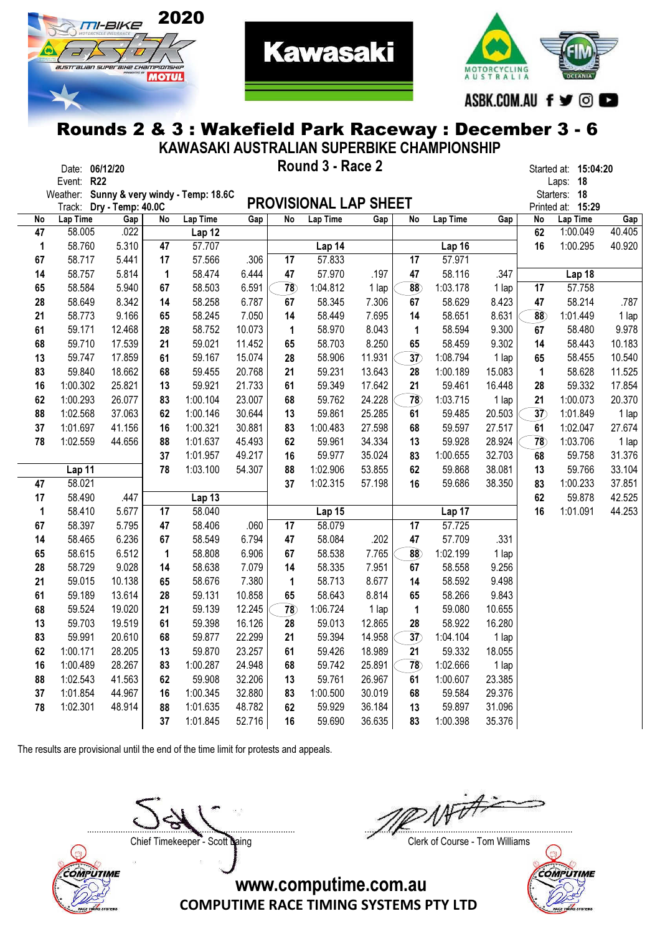



**Kawasaki** 

KAWASAKI AUSTRALIAN SUPERBIKE CHAMPIONSHIP

|            | Date: 06/12/20                            | Round 3 - Race 2 | Started at: 15  |  |
|------------|-------------------------------------------|------------------|-----------------|--|
| Event: R22 |                                           |                  | Laps: <b>18</b> |  |
|            | Weather: Sunny & very windy - Temp: 18.6C |                  | Starters: 18    |  |

Date: 06/12/20 **Example 2 Round 3 - Race 2 Started at: 15:04:20** 

|    | $\frac{1}{2}$ outling a very willug - reliip. 10.00<br>Track: Dry - Temp: 40.0C |        |              |                   |        |                 | <b>PROVISIONAL LAP SHEET</b> |        |                 |          |        |                 | <b>ان ان</b> انت<br>Printed at: 15:29 |        |
|----|---------------------------------------------------------------------------------|--------|--------------|-------------------|--------|-----------------|------------------------------|--------|-----------------|----------|--------|-----------------|---------------------------------------|--------|
| No | Lap Time                                                                        | Gap    | No           | Lap Time          | Gap    | No              | Lap Time                     | Gap    | No              | Lap Time | Gap    | No              | Lap Time                              | Gap    |
| 47 | 58.005                                                                          | .022   |              | Lap 12            |        |                 |                              |        |                 |          |        | 62              | 1:00.049                              | 40.405 |
| 1  | 58.760                                                                          | 5.310  | 47           | 57.707            |        |                 | Lap 14                       |        |                 | Lap 16   |        | 16              | 1:00.295                              | 40.920 |
| 67 | 58.717                                                                          | 5.441  | 17           | 57.566            | .306   | 17              | 57.833                       |        | 17              | 57.971   |        |                 |                                       |        |
| 14 | 58.757                                                                          | 5.814  | $\mathbf{1}$ | 58.474            | 6.444  | 47              | 57.970                       | .197   | 47              | 58.116   | .347   |                 | Lap 18                                |        |
| 65 | 58.584                                                                          | 5.940  | 67           | 58.503            | 6.591  | $\overline{78}$ | 1:04.812                     | 1 lap  | $\overline{88}$ | 1:03.178 | 1 lap  | 17              | 57.758                                |        |
| 28 | 58.649                                                                          | 8.342  | 14           | 58.258            | 6.787  | 67              | 58.345                       | 7.306  | 67              | 58.629   | 8.423  | 47              | 58.214                                | .787   |
| 21 | 58.773                                                                          | 9.166  | 65           | 58.245            | 7.050  | 14              | 58.449                       | 7.695  | 14              | 58.651   | 8.631  | $\overline{88}$ | 1:01.449                              | 1 lap  |
| 61 | 59.171                                                                          | 12.468 | 28           | 58.752            | 10.073 | $\mathbf 1$     | 58.970                       | 8.043  | 1               | 58.594   | 9.300  | 67              | 58.480                                | 9.978  |
| 68 | 59.710                                                                          | 17.539 | 21           | 59.021            | 11.452 | 65              | 58.703                       | 8.250  | 65              | 58.459   | 9.302  | 14              | 58.443                                | 10.183 |
| 13 | 59.747                                                                          | 17.859 | 61           | 59.167            | 15.074 | 28              | 58.906                       | 11.931 | 37              | 1:08.794 | 1 lap  | 65              | 58.455                                | 10.540 |
| 83 | 59.840                                                                          | 18.662 | 68           | 59.455            | 20.768 | 21              | 59.231                       | 13.643 | 28              | 1:00.189 | 15.083 | $\mathbf{1}$    | 58.628                                | 11.525 |
| 16 | 1:00.302                                                                        | 25.821 | 13           | 59.921            | 21.733 | 61              | 59.349                       | 17.642 | 21              | 59.461   | 16.448 | 28              | 59.332                                | 17.854 |
| 62 | 1:00.293                                                                        | 26.077 | 83           | 1:00.104          | 23.007 | 68              | 59.762                       | 24.228 | $\overline{78}$ | 1:03.715 | 1 lap  | 21              | 1:00.073                              | 20.370 |
| 88 | 1:02.568                                                                        | 37.063 | 62           | 1:00.146          | 30.644 | 13              | 59.861                       | 25.285 | 61              | 59.485   | 20.503 | 37              | 1:01.849                              | 1 lap  |
| 37 | 1:01.697                                                                        | 41.156 | 16           | 1:00.321          | 30.881 | 83              | 1:00.483                     | 27.598 | 68              | 59.597   | 27.517 | 61              | 1:02.047                              | 27.674 |
| 78 | 1:02.559                                                                        | 44.656 | 88           | 1:01.637          | 45.493 | 62              | 59.961                       | 34.334 | 13              | 59.928   | 28.924 | $\overline{78}$ | 1:03.706                              | 1 lap  |
|    |                                                                                 |        | 37           | 1:01.957          | 49.217 | 16              | 59.977                       | 35.024 | 83              | 1:00.655 | 32.703 | 68              | 59.758                                | 31.376 |
|    | Lap 11                                                                          |        | 78           | 1:03.100          | 54.307 | 88              | 1:02.906                     | 53.855 | 62              | 59.868   | 38.081 | 13              | 59.766                                | 33.104 |
| 47 | 58.021                                                                          |        |              |                   |        | 37              | 1:02.315                     | 57.198 | 16              | 59.686   | 38.350 | 83              | 1:00.233                              | 37.851 |
| 17 | 58.490                                                                          | .447   |              | Lap <sub>13</sub> |        |                 |                              |        |                 |          |        | 62              | 59.878                                | 42.525 |
| 1  | 58.410                                                                          | 5.677  | 17           | 58.040            |        |                 | Lap 15                       |        |                 | Lap 17   |        | 16              | 1:01.091                              | 44.253 |
| 67 | 58.397                                                                          | 5.795  | 47           | 58.406            | .060   | 17              | 58.079                       |        | 17              | 57.725   |        |                 |                                       |        |
| 14 | 58.465                                                                          | 6.236  | 67           | 58.549            | 6.794  | 47              | 58.084                       | .202   | 47              | 57.709   | .331   |                 |                                       |        |
| 65 | 58.615                                                                          | 6.512  | 1            | 58.808            | 6.906  | 67              | 58.538                       | 7.765  | 88              | 1:02.199 | 1 lap  |                 |                                       |        |
| 28 | 58.729                                                                          | 9.028  | 14           | 58.638            | 7.079  | 14              | 58.335                       | 7.951  | 67              | 58.558   | 9.256  |                 |                                       |        |
| 21 | 59.015                                                                          | 10.138 | 65           | 58.676            | 7.380  | $\mathbf{1}$    | 58.713                       | 8.677  | 14              | 58.592   | 9.498  |                 |                                       |        |
| 61 | 59.189                                                                          | 13.614 | 28           | 59.131            | 10.858 | 65              | 58.643                       | 8.814  | 65              | 58.266   | 9.843  |                 |                                       |        |
| 68 | 59.524                                                                          | 19.020 | 21           | 59.139            | 12.245 | $\overline{78}$ | 1:06.724                     | 1 lap  | 1               | 59.080   | 10.655 |                 |                                       |        |
| 13 | 59.703                                                                          | 19.519 | 61           | 59.398            | 16.126 | 28              | 59.013                       | 12.865 | 28              | 58.922   | 16.280 |                 |                                       |        |
| 83 | 59.991                                                                          | 20.610 | 68           | 59.877            | 22.299 | 21              | 59.394                       | 14.958 | $\overline{37}$ | 1:04.104 | 1 lap  |                 |                                       |        |
| 62 | 1:00.171                                                                        | 28.205 | 13           | 59.870            | 23.257 | 61              | 59.426                       | 18.989 | 21              | 59.332   | 18.055 |                 |                                       |        |
| 16 | 1:00.489                                                                        | 28.267 | 83           | 1:00.287          | 24.948 | 68              | 59.742                       | 25.891 | $\overline{78}$ | 1:02.666 | 1 lap  |                 |                                       |        |
| 88 | 1:02.543                                                                        | 41.563 | 62           | 59.908            | 32.206 | 13              | 59.761                       | 26.967 | 61              | 1:00.607 | 23.385 |                 |                                       |        |
| 37 | 1:01.854                                                                        | 44.967 | 16           | 1:00.345          | 32.880 | 83              | 1:00.500                     | 30.019 | 68              | 59.584   | 29.376 |                 |                                       |        |
| 78 | 1:02.301                                                                        | 48.914 | 88           | 1:01.635          | 48.782 | 62              | 59.929                       | 36.184 | 13              | 59.897   | 31.096 |                 |                                       |        |
|    |                                                                                 |        | 37           | 1:01.845          | 52.716 | 16              | 59.690                       | 36.635 | 83              | 1:00.398 | 35.376 |                 |                                       |        |

The results are provisional until the end of the time limit for protests and appeals.



....................................................................................... .......................................................................................

Chief Timekeeper - Scott Laing Chief Timekeeper - Scott Laing

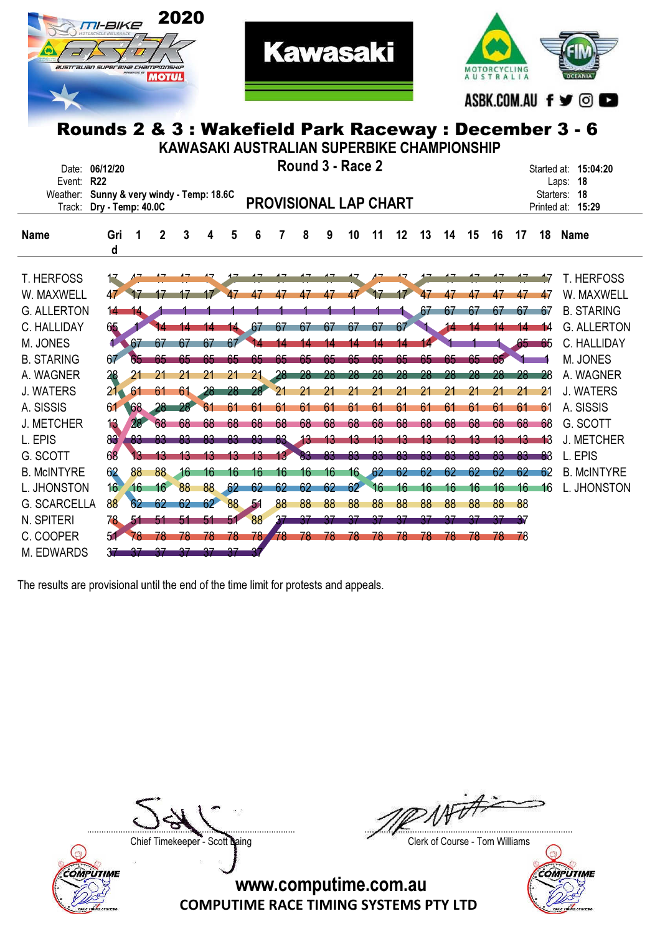



**Kawasaki** 

| KAWASAKI AUSTRALIAN SUPERBIKE CHAMPIONSHIP |                                                                                                                                   |                 |                 |     |                 |     |                         |                              |                 |      |    |            |    |    |    |    |    |       |     |                    |
|--------------------------------------------|-----------------------------------------------------------------------------------------------------------------------------------|-----------------|-----------------|-----|-----------------|-----|-------------------------|------------------------------|-----------------|------|----|------------|----|----|----|----|----|-------|-----|--------------------|
|                                            | Round 3 - Race 2<br>Date: 06/12/20<br>Started at: 15:04:20<br>Event: R22<br>Laps: 18<br>Weather: Sunny & very windy - Temp: 18.6C |                 |                 |     |                 |     |                         |                              |                 |      |    |            |    |    |    |    |    |       |     |                    |
|                                            |                                                                                                                                   |                 |                 |     |                 |     |                         |                              |                 |      |    |            |    |    |    |    |    |       |     | Starters: 18       |
|                                            | Track: Dry - Temp: 40.0C                                                                                                          |                 |                 |     |                 |     |                         | <b>PROVISIONAL LAP CHART</b> |                 |      |    |            |    |    |    |    |    |       |     | Printed at: 15:29  |
| <b>Name</b>                                | Gri                                                                                                                               |                 | 2               | 3   | 4               | 5   | 6                       |                              | 8               | 9    | 10 | 11         | 12 | 13 | 14 | 15 | 16 | 17    | 18  | <b>Name</b>        |
|                                            | d                                                                                                                                 |                 |                 |     |                 |     |                         |                              |                 |      |    |            |    |    |    |    |    |       |     |                    |
| <b>T. HERFOSS</b>                          | <b>T. HERFOSS</b>                                                                                                                 |                 |                 |     |                 |     |                         |                              |                 |      |    |            |    |    |    |    |    |       |     |                    |
| W. MAXWELL                                 | 47                                                                                                                                |                 |                 |     |                 |     |                         |                              | 47              |      |    |            |    |    | 47 |    | 47 | 41    | 47  | W. MAXWELL         |
| <b>G. ALLERTON</b>                         | 14                                                                                                                                |                 |                 |     |                 |     |                         |                              |                 |      |    |            |    | 67 | 67 | 67 | 67 | 67    | 67  | <b>B. STARING</b>  |
| C. HALLIDAY                                | 65                                                                                                                                |                 |                 |     |                 |     | -67                     | 67                           | 67              | 67   | 67 | 67         | 67 |    |    |    |    |       |     | <b>G. ALLERTON</b> |
| M. JONES                                   | 1 67                                                                                                                              |                 | 67              | 67  | 67              | 67  |                         | 14                           |                 |      | 14 | 14         | 14 |    |    |    |    | $65-$ | -65 | C. HALLIDAY        |
| <b>B. STARING</b>                          | 67                                                                                                                                | 65              |                 |     |                 |     | 65                      | 65                           | 65              | 65   | 65 | 65         | 65 |    |    |    |    |       |     | M. JONES           |
| A. WAGNER                                  | 28                                                                                                                                |                 |                 | 21  | 21              | 21  | 21                      | 28                           | 28              | -28  | 28 | 28         | 28 | 28 |    |    |    |       | 28  | A. WAGNER          |
| <b>J. WATERS</b>                           | $21 - 61$                                                                                                                         |                 | 61              | 61  | -28             | 28  | 28                      | 21                           | 21              | 21   | 21 | 21         | 21 |    |    |    |    | 21    | 21  | <b>J. WATERS</b>   |
| A. SISSIS                                  | 61                                                                                                                                | 68              | 28              | 28  | 61              | 61  | 61                      | 61                           | 61              | 61   | 61 | 61         | 61 | 61 | 61 | 61 | 61 | 61    | 61  | A. SISSIS          |
| <b>J. METCHER</b>                          | 13                                                                                                                                | 28 <sup>2</sup> | 68              | 68  | 68              | 68  | 68                      | 68                           | 68              | 68   | 68 | 68         | 68 | 68 | 68 | 68 | 68 | 68    | 68  | G. SCOTT           |
| L. EPIS                                    | 83                                                                                                                                | <b>AB3</b>      |                 | 83  |                 | 83. | $-83$                   |                              | 83, 13          | - 13 | 13 | 13         | 13 | 13 | 13 |    | в  | 13    | 13  | <b>J. METCHER</b>  |
| G. SCOTT                                   | 68                                                                                                                                | 13              | ß               | 13  |                 |     |                         |                              |                 | 83   | 83 | 83         | 83 | 83 | 83 |    | 83 | 83    | 88  | L. EPIS            |
| <b>B. McINTYRE</b>                         | 62                                                                                                                                | 88              | 88              | 16  | 16              | 16  | 16                      | 16                           | 16 <sup>°</sup> | 16   |    | $16 \t 62$ | 62 | 62 | 62 |    | 62 | 62    | 62  | <b>B. McINTYRE</b> |
| L. JHONSTON                                | 16                                                                                                                                | 16              | 16 <sup>°</sup> | 88  | 88              | 62  | 62                      | 62                           | 62              | 62   | 62 | 16         | 16 | 16 | 16 | 16 | 16 | 16    | 16  | L. JHONSTON        |
| <b>G. SCARCELLA</b>                        | 88                                                                                                                                | 62              | 62              | 62  | 62 <sup>2</sup> | 88  | $\overline{\mathbf{5}}$ | 88                           | 88              | 88   | 88 | 88         | 88 | 88 | 88 | 88 | 88 | 88    |     |                    |
| N. SPITERI                                 | 78.                                                                                                                               | 51              | -51             | -51 |                 |     | 88                      |                              | 87              |      |    |            |    |    |    |    |    |       |     |                    |
| C. COOPER                                  | Ю                                                                                                                                 |                 |                 |     |                 |     | 78                      | 78                           | 78              |      |    | 78         | 78 | 78 | 78 |    |    | -78   |     |                    |
| <b>M. EDWARDS</b>                          | $\tau$                                                                                                                            | -37-            |                 |     |                 |     |                         |                              |                 |      |    |            |    |    |    |    |    |       |     |                    |

The results are provisional until the end of the time limit for protests and appeals.



....................................................................................... .......................................................................................

Chief Timekeeper - Scott Laing Chief Timekeeper - Scott Laing

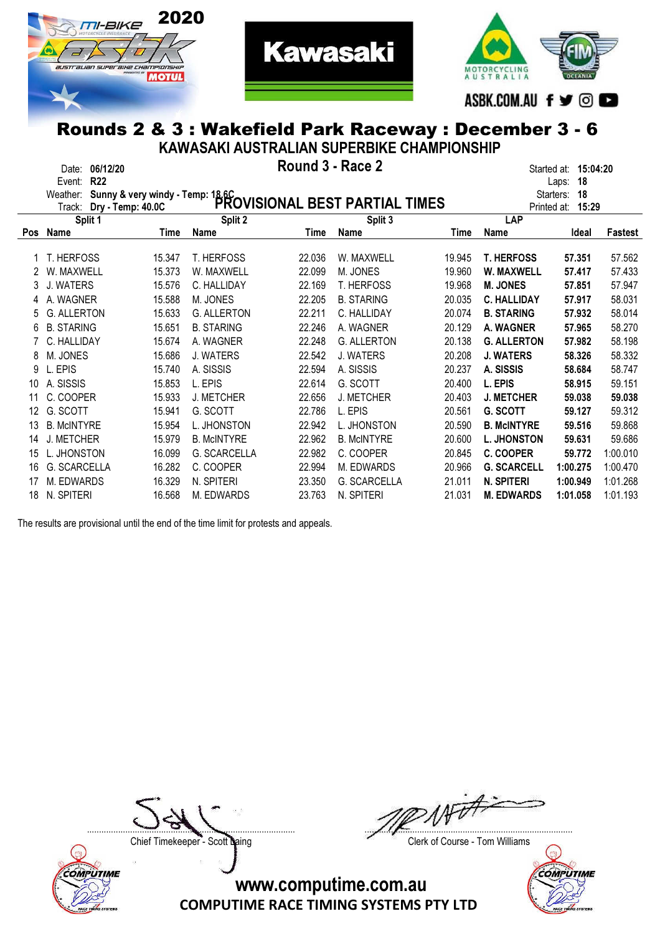



**Kawasaki** 

|     | KAWASAKI AUSTRALIAN SUPERBIKE CHAMPIONSHIP                                                                               |        |                    |                  |                                |        |                    |                                                                          |                |
|-----|--------------------------------------------------------------------------------------------------------------------------|--------|--------------------|------------------|--------------------------------|--------|--------------------|--------------------------------------------------------------------------|----------------|
|     | 06/12/20<br>Date:<br><b>R22</b><br>Event:<br>Weather:<br>Sunny & very windy - Temp: 18.6C<br>Dry - Temp: 40.0C<br>Track: |        |                    | Round 3 - Race 2 | PROVISIONAL BEST PARTIAL TIMES |        |                    | Started at: 15:04:20<br>Laps: 18<br>Starters: 18<br>Printed at:<br>15:29 |                |
|     | Split 1                                                                                                                  |        | Split 2            |                  | Split 3                        |        | <b>LAP</b>         |                                                                          |                |
| Pos | Name                                                                                                                     | Time   | Name               | Time             | <b>Name</b>                    | Time   | Name               | Ideal                                                                    | <b>Fastest</b> |
|     | T. HERFOSS                                                                                                               | 15.347 | <b>T. HERFOSS</b>  | 22.036           | W. MAXWELL                     | 19.945 | <b>T. HERFOSS</b>  | 57.351                                                                   | 57.562         |
| 2   | W. MAXWELL                                                                                                               | 15.373 | W. MAXWELL         | 22.099           | M. JONES                       | 19.960 | W. MAXWELL         | 57.417                                                                   | 57.433         |
|     | J. WATERS                                                                                                                | 15.576 | C. HALLIDAY        | 22.169           | T. HERFOSS                     | 19.968 | <b>M. JONES</b>    | 57.851                                                                   | 57.947         |
| 4   | A. WAGNER                                                                                                                | 15.588 | M. JONES           | 22.205           | <b>B. STARING</b>              | 20.035 | <b>C. HALLIDAY</b> | 57.917                                                                   | 58.031         |
| 5   | <b>G. ALLERTON</b>                                                                                                       | 15.633 | <b>G. ALLERTON</b> | 22.211           | C. HALLIDAY                    | 20.074 | <b>B. STARING</b>  | 57.932                                                                   | 58.014         |
| 6   | <b>B. STARING</b>                                                                                                        | 15.651 | <b>B. STARING</b>  | 22.246           | A. WAGNER                      | 20.129 | A. WAGNER          | 57.965                                                                   | 58.270         |
|     | C. HALLIDAY                                                                                                              | 15.674 | A. WAGNER          | 22.248           | <b>G. ALLERTON</b>             | 20.138 | <b>G. ALLERTON</b> | 57.982                                                                   | 58.198         |
| 8   | M. JONES                                                                                                                 | 15.686 | J. WATERS          | 22.542           | <b>J. WATERS</b>               | 20.208 | <b>J. WATERS</b>   | 58.326                                                                   | 58.332         |
| 9   | L. EPIS                                                                                                                  | 15.740 | A. SISSIS          | 22.594           | A. SISSIS                      | 20.237 | A. SISSIS          | 58.684                                                                   | 58.747         |
| 10  | A. SISSIS                                                                                                                | 15.853 | L. EPIS            | 22.614           | G. SCOTT                       | 20.400 | L. EPIS            | 58.915                                                                   | 59.151         |
| 11  | C. COOPER                                                                                                                | 15.933 | J. METCHER         | 22.656           | J. METCHER                     | 20.403 | <b>J. METCHER</b>  | 59.038                                                                   | 59.038         |
| 12  | G. SCOTT                                                                                                                 | 15.941 | G. SCOTT           | 22.786           | L. EPIS                        | 20.561 | <b>G. SCOTT</b>    | 59.127                                                                   | 59.312         |
| 13  | <b>B. McINTYRE</b>                                                                                                       | 15.954 | L. JHONSTON        | 22.942           | L. JHONSTON                    | 20,590 | <b>B. McINTYRE</b> | 59.516                                                                   | 59.868         |
| 14  | J. METCHER                                                                                                               | 15.979 | <b>B. McINTYRE</b> | 22.962           | <b>B. McINTYRE</b>             | 20.600 | <b>L. JHONSTON</b> | 59.631                                                                   | 59.686         |
| 15  | L. JHONSTON                                                                                                              | 16.099 | G. SCARCELLA       | 22.982           | C. COOPER                      | 20.845 | C. COOPER          | 59.772                                                                   | 1:00.010       |
| 16  | G. SCARCELLA                                                                                                             | 16.282 | C. COOPER          | 22.994           | M. EDWARDS                     | 20.966 | <b>G. SCARCELL</b> | 1:00.275                                                                 | 1:00.470       |
| 17  | M. EDWARDS                                                                                                               | 16.329 | N. SPITERI         | 23.350           | G. SCARCELLA                   | 21.011 | <b>N. SPITERI</b>  | 1:00.949                                                                 | 1:01.268       |
| 18  | N. SPITERI                                                                                                               | 16.568 | M. EDWARDS         | 23.763           | N. SPITERI                     | 21.031 | <b>M. EDWARDS</b>  | 1:01.058                                                                 | 1:01.193       |

The results are provisional until the end of the time limit for protests and appeals.



....................................................................................... .......................................................................................

Chief Timekeeper - Scott Laing Chief Timekeeper - Scott Laing

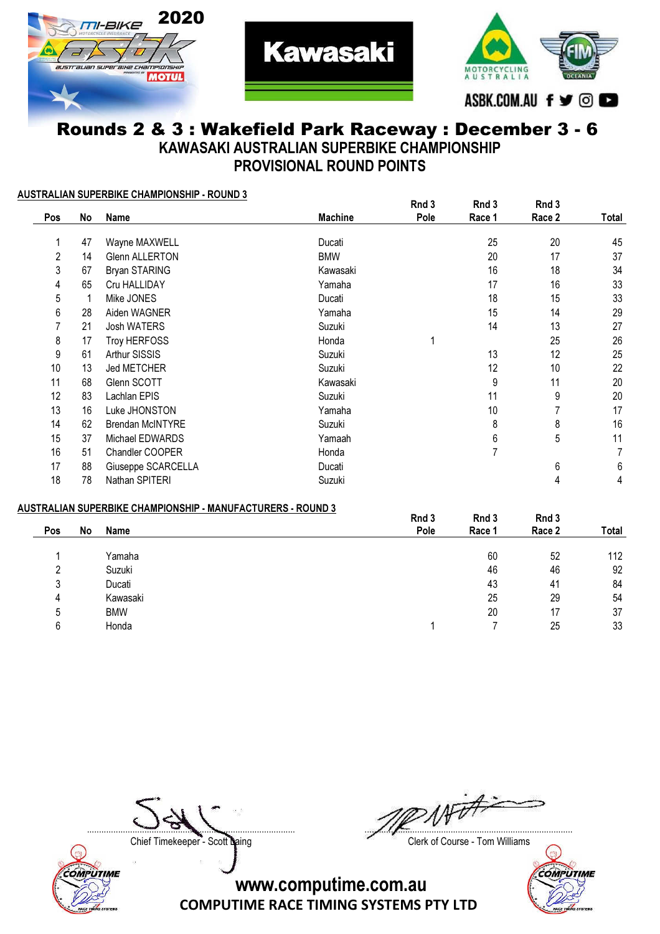



#### Rounds 2 & 3 : Wakefield Park Raceway : December 3 - 6 KAWASAKI AUSTRALIAN SUPERBIKE CHAMPIONSHIP PROVISIONAL ROUND POINTS

**Kawasaki** 

AUSTRALIAN SUPERBIKE CHAMPIONSHIP - ROUND 3

|            |    |                         |                | Rnd 3 | Rnd 3  | Rnd 3  |       |
|------------|----|-------------------------|----------------|-------|--------|--------|-------|
| <b>Pos</b> | No | Name                    | <b>Machine</b> | Pole  | Race 1 | Race 2 | Total |
|            | 47 | Wayne MAXWELL           | Ducati         |       | 25     | 20     | 45    |
| 2          | 14 | <b>Glenn ALLERTON</b>   | <b>BMW</b>     |       | 20     | 17     | 37    |
| 3          | 67 | <b>Bryan STARING</b>    | Kawasaki       |       | 16     | 18     | 34    |
| 4          | 65 | Cru HALLIDAY            | Yamaha         |       | 17     | 16     | 33    |
| 5          |    | Mike JONES              | Ducati         |       | 18     | 15     | 33    |
| 6          | 28 | Aiden WAGNER            | Yamaha         |       | 15     | 14     | 29    |
|            | 21 | <b>Josh WATERS</b>      | Suzuki         |       | 14     | 13     | 27    |
| 8          | 17 | Troy HERFOSS            | Honda          |       |        | 25     | 26    |
| 9          | 61 | <b>Arthur SISSIS</b>    | Suzuki         |       | 13     | 12     | 25    |
| 10         | 13 | Jed METCHER             | Suzuki         |       | 12     | 10     | 22    |
| 11         | 68 | Glenn SCOTT             | Kawasaki       |       | 9      | 11     | 20    |
| 12         | 83 | Lachlan EPIS            | Suzuki         |       | 11     | 9      | 20    |
| 13         | 16 | Luke JHONSTON           | Yamaha         |       | 10     |        | 17    |
| 14         | 62 | <b>Brendan McINTYRE</b> | Suzuki         |       | 8      | 8      | 16    |
| 15         | 37 | Michael EDWARDS         | Yamaah         |       | 6      | 5      | 11    |
| 16         | 51 | Chandler COOPER         | Honda          |       | 7      |        | 7     |
| 17         | 88 | Giuseppe SCARCELLA      | Ducati         |       |        | 6      | 6     |
| 18         | 78 | Nathan SPITERI          | Suzuki         |       |        | 4      | 4     |

#### AUSTRALIAN SUPERBIKE CHAMPIONSHIP - MANUFACTURERS - ROUND 3

|  |        |    |            | Rnd 3 |        | Rnd 3  |       |  |
|--|--------|----|------------|-------|--------|--------|-------|--|
|  | Pos    | No | Name       | Pole  | Race 1 | Race 2 | Total |  |
|  |        |    |            |       |        |        |       |  |
|  |        |    | Yamaha     |       | 60     | 52     | 112   |  |
|  | ົ<br>∠ |    | Suzuki     |       | 46     | 46     | 92    |  |
|  | 3      |    | Ducati     |       | 43     | 41     | 84    |  |
|  | 4      |    | Kawasaki   |       | 25     | 29     | 54    |  |
|  | 5      |    | <b>BMW</b> |       | 20     | 17     | 37    |  |
|  | 6      |    | Honda      |       |        | 25     | 33    |  |
|  |        |    |            |       |        |        |       |  |



....................................................................................... .......................................................................................

Chief Timekeeper - Scott Laing Chief Timekeeper - Scott Laing

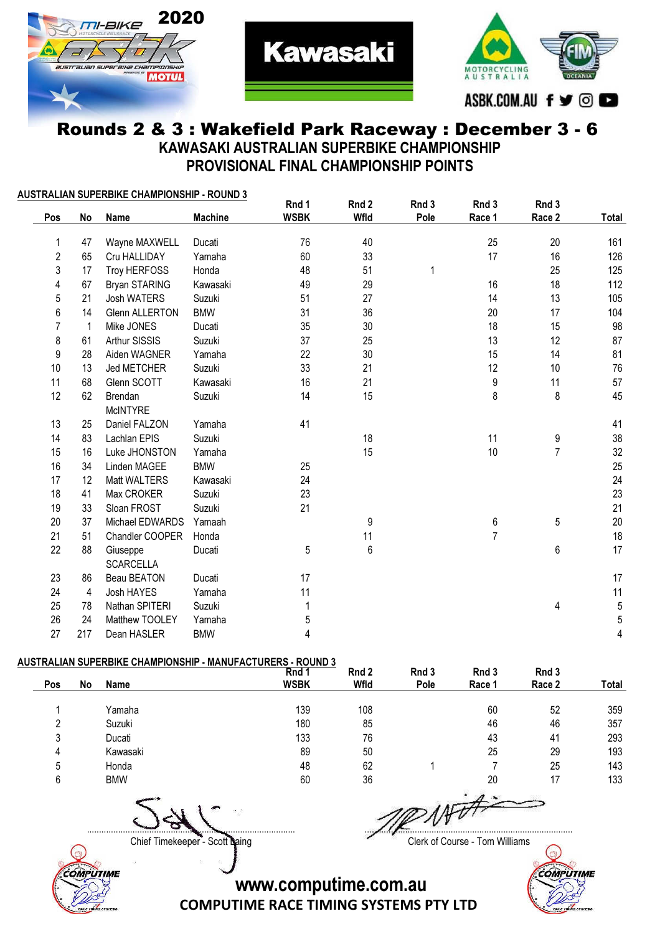



#### Rounds 2 & 3 : Wakefield Park Raceway : December 3 - 6 KAWASAKI AUSTRALIAN SUPERBIKE CHAMPIONSHIP PROVISIONAL FINAL CHAMPIONSHIP POINTS

**Kawasaki** 

| AUSTRALIAN SUPERBIKE CHAMPIONSHIP - ROUND 3 |     |     |                       |                | Rnd 1       | Rnd 2 | Rnd 3 | Rnd 3          | Rnd 3          |                         |
|---------------------------------------------|-----|-----|-----------------------|----------------|-------------|-------|-------|----------------|----------------|-------------------------|
|                                             | Pos | No  | Name                  | <b>Machine</b> | <b>WSBK</b> | Wfld  | Pole  | Race 1         | Race 2         | Total                   |
|                                             |     |     |                       |                |             |       |       |                |                |                         |
|                                             | 1   | 47  | Wayne MAXWELL         | Ducati         | 76          | 40    |       | 25             | 20             | 161                     |
|                                             | 2   | 65  | Cru HALLIDAY          | Yamaha         | 60          | 33    |       | 17             | 16             | 126                     |
|                                             | 3   | 17  | Troy HERFOSS          | Honda          | 48          | 51    | 1     |                | 25             | 125                     |
|                                             | 4   | 67  | <b>Bryan STARING</b>  | Kawasaki       | 49          | 29    |       | 16             | 18             | 112                     |
|                                             | 5   | 21  | Josh WATERS           | Suzuki         | 51          | 27    |       | 14             | 13             | 105                     |
|                                             | 6   | 14  | <b>Glenn ALLERTON</b> | <b>BMW</b>     | 31          | 36    |       | 20             | 17             | 104                     |
|                                             | 7   | -1  | Mike JONES            | Ducati         | 35          | 30    |       | 18             | 15             | 98                      |
|                                             | 8   | 61  | Arthur SISSIS         | Suzuki         | 37          | 25    |       | 13             | 12             | 87                      |
|                                             | 9   | 28  | Aiden WAGNER          | Yamaha         | 22          | 30    |       | 15             | 14             | 81                      |
|                                             | 10  | 13  | Jed METCHER           | Suzuki         | 33          | 21    |       | 12             | 10             | 76                      |
|                                             | 11  | 68  | Glenn SCOTT           | Kawasaki       | 16          | 21    |       | 9              | 11             | 57                      |
|                                             | 12  | 62  | Brendan               | Suzuki         | 14          | 15    |       | 8              | 8              | 45                      |
|                                             |     |     | <b>McINTYRE</b>       |                |             |       |       |                |                |                         |
|                                             | 13  | 25  | Daniel FALZON         | Yamaha         | 41          |       |       |                |                | 41                      |
|                                             | 14  | 83  | Lachlan EPIS          | Suzuki         |             | 18    |       | 11             | 9              | 38                      |
|                                             | 15  | 16  | Luke JHONSTON         | Yamaha         |             | 15    |       | 10             | $\overline{7}$ | 32                      |
|                                             | 16  | 34  | Linden MAGEE          | <b>BMW</b>     | 25          |       |       |                |                | 25                      |
|                                             | 17  | 12  | Matt WALTERS          | Kawasaki       | 24          |       |       |                |                | 24                      |
|                                             | 18  | 41  | Max CROKER            | Suzuki         | 23          |       |       |                |                | 23                      |
|                                             | 19  | 33  | Sloan FROST           | Suzuki         | 21          |       |       |                |                | 21                      |
|                                             | 20  | 37  | Michael EDWARDS       | Yamaah         |             | 9     |       | 6              | 5              | 20                      |
|                                             | 21  | 51  | Chandler COOPER       | Honda          |             | 11    |       | $\overline{7}$ |                | 18                      |
|                                             | 22  | 88  | Giuseppe              | Ducati         | 5           | $\,6$ |       |                | 6              | 17                      |
|                                             |     |     | <b>SCARCELLA</b>      |                |             |       |       |                |                |                         |
|                                             | 23  | 86  | Beau BEATON           | Ducati         | 17          |       |       |                |                | 17                      |
|                                             | 24  | 4   | Josh HAYES            | Yamaha         | 11          |       |       |                |                | 11                      |
|                                             | 25  | 78  | Nathan SPITERI        | Suzuki         | 1           |       |       |                | 4              | $\sqrt{5}$              |
|                                             | 26  | 24  | Matthew TOOLEY        | Yamaha         | 5           |       |       |                |                | $\sqrt{5}$              |
|                                             | 27  | 217 | Dean HASLER           | <b>BMW</b>     | 4           |       |       |                |                | $\overline{\mathbf{4}}$ |
|                                             |     |     |                       |                |             |       |       |                |                |                         |

#### AUSTRALIAN SUPERBIKE CHAMPIONSHIP - MANUFACTURERS - ROUND 3

|     |    |            | Rnd 1       | Rnd 2 | Rnd 3 | Rnd 3  | Rnd 3  |       |
|-----|----|------------|-------------|-------|-------|--------|--------|-------|
| Pos | No | Name       | <b>WSBK</b> | Wfld  | Pole  | Race 1 | Race 2 | Total |
|     |    | Yamaha     | 139         | 108   |       | 60     | 52     | 359   |
|     |    | Suzuki     | 180         | 85    |       | 46     | 46     | 357   |
| 3   |    | Ducati     | 133         | 76    |       | 43     | 41     | 293   |
| 4   |    | Kawasaki   | 89          | 50    |       | 25     | 29     | 193   |
| 5   |    | Honda      | 48          | 62    |       |        | 25     | 143   |
| 6   |    | <b>BMW</b> | 60          | 36    |       | 20     | 17     | 133   |
|     |    |            |             |       |       |        |        |       |

....................................................................................... .......................................................................................

COMPUTIME

Chief Timekeeper - Scott Laing Chief Timekeeper - Scott Laing



www.computime.com.au

COMPUTIME RACE TIMING SYSTEMS PTY LTD